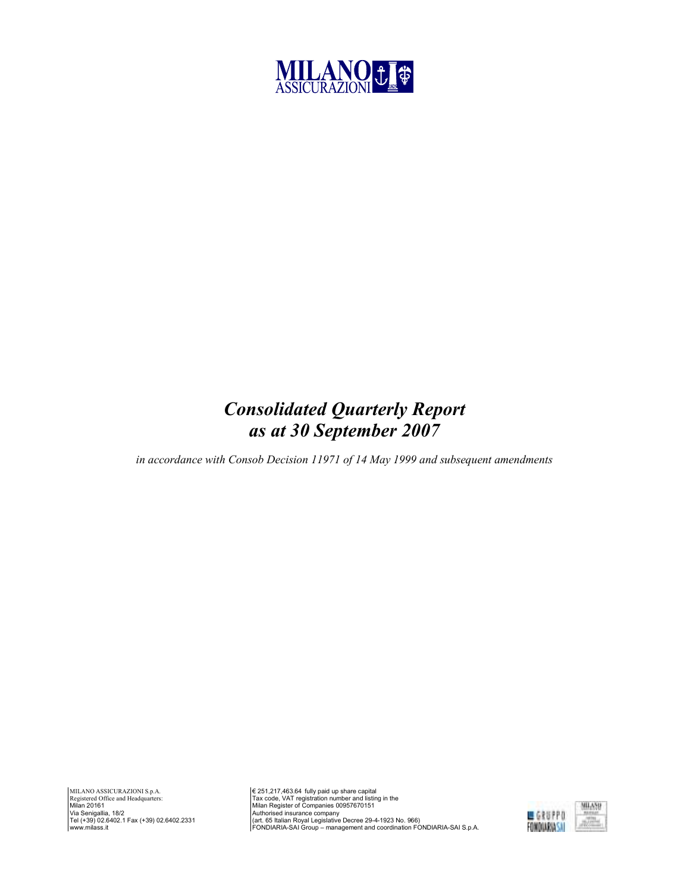

# Consolidated Quarterly Report as at 30 September 2007

in accordance with Consob Decision 11971 of 14 May 1999 and subsequent amendments

€ 251,217,463.64 fully paid up share capital<br>Tax code, VAT registration number and listing in the<br>Milan Register of Companies 00957670151<br>Authorised insurance company<br>(art. 65 Italian Royal Legislative Decree 29-4-1923 No

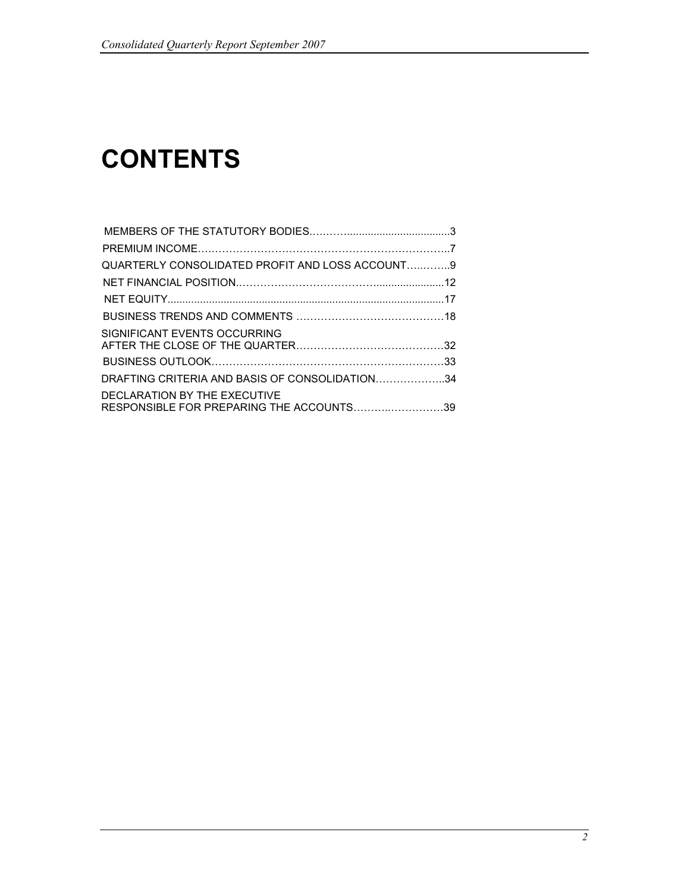# **CONTENTS**

| QUARTERLY CONSOLIDATED PROFIT AND LOSS ACCOUNT9<br>DRAFTING CRITERIA AND BASIS OF CONSOLIDATION34<br>RESPONSIBLE FOR PREPARING THE ACCOUNTS39 |                              |  |
|-----------------------------------------------------------------------------------------------------------------------------------------------|------------------------------|--|
|                                                                                                                                               |                              |  |
|                                                                                                                                               |                              |  |
|                                                                                                                                               |                              |  |
|                                                                                                                                               |                              |  |
|                                                                                                                                               |                              |  |
|                                                                                                                                               | SIGNIFICANT EVENTS OCCURRING |  |
|                                                                                                                                               |                              |  |
|                                                                                                                                               |                              |  |
|                                                                                                                                               |                              |  |
|                                                                                                                                               | DECLARATION BY THE EXECUTIVE |  |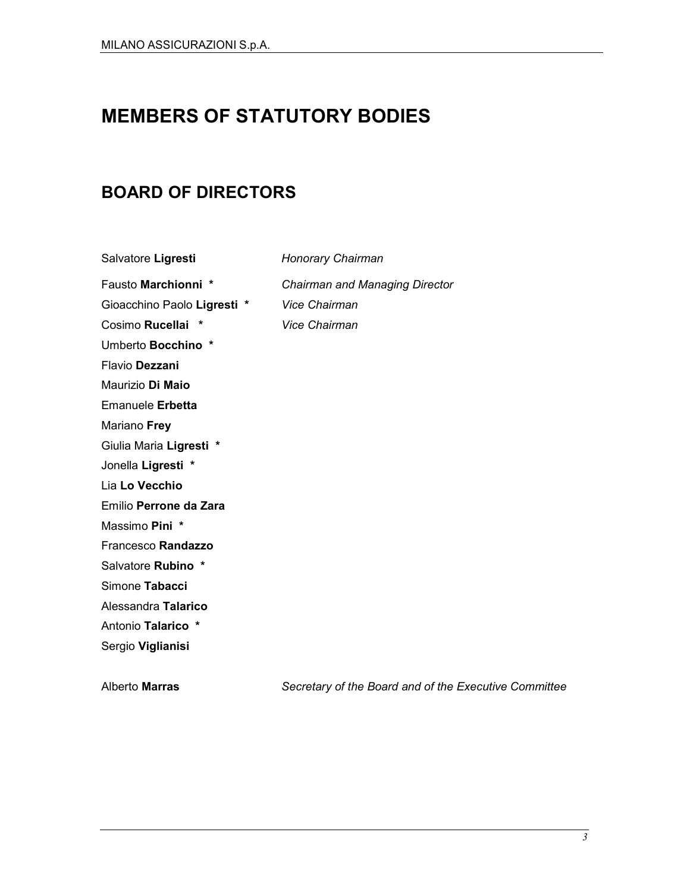# MEMBERS OF STATUTORY BODIES

# BOARD OF DIRECTORS

Salvatore Ligresti Honorary Chairman

Fausto Marchionni \* Chairman and Managing Director

Gioacchino Paolo Ligresti \* Vice Chairman Cosimo Rucellai \* Vice Chairman Umberto Bocchino \* Flavio Dezzani Maurizio Di Maio Emanuele Erbetta Mariano Frey Giulia Maria Ligresti \* Jonella Ligresti \* Lia Lo Vecchio Emilio Perrone da Zara

Massimo Pini \*

Francesco Randazzo

Salvatore Rubino \*

Simone Tabacci

Alessandra Talarico

Antonio Talarico \*

Sergio Viglianisi

Alberto Marras Secretary of the Board and of the Executive Committee

3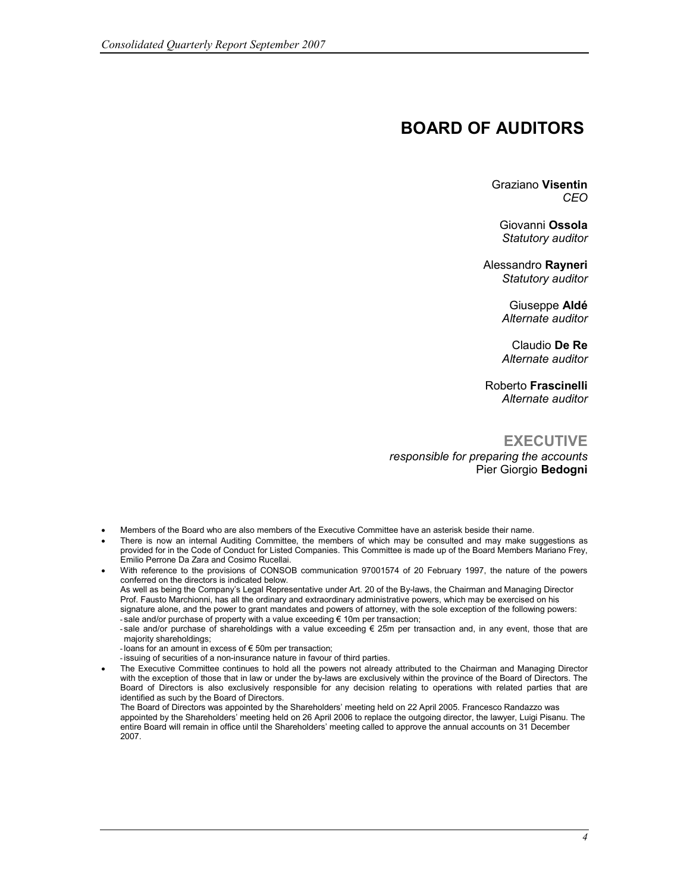## BOARD OF AUDITORS

Graziano Visentin CEO

Giovanni Ossola Statutory auditor

Alessandro Rayneri Statutory auditor

> Giuseppe Aldé Alternate auditor

Claudio De Re Alternate auditor

Roberto Frascinelli Alternate auditor

#### **EXECUTIVE**

responsible for preparing the accounts Pier Giorgio Bedogni

- Members of the Board who are also members of the Executive Committee have an asterisk beside their name.
- There is now an internal Auditing Committee, the members of which may be consulted and may make suggestions as provided for in the Code of Conduct for Listed Companies. This Committee is made up of the Board Members Mariano Frey, Emilio Perrone Da Zara and Cosimo Rucellai.
- With reference to the provisions of CONSOB communication 97001574 of 20 February 1997, the nature of the powers conferred on the directors is indicated below. As well as being the Company's Legal Representative under Art. 20 of the By-laws, the Chairman and Managing Director Prof. Fausto Marchionni, has all the ordinary and extraordinary administrative powers, which may be exercised on his signature alone, and the power to grant mandates and powers of attorney, with the sole exception of the following powers:  $-$  sale and/or purchase of property with a value exceeding  $\epsilon$  10m per transaction; - sale and/or purchase of shareholdings with a value exceeding € 25m per transaction and, in any event, those that are
	- majority shareholdings;

- loans for an amount in excess of  $\epsilon$  50m per transaction;

- issuing of securities of a non-insurance nature in favour of third parties.
- The Executive Committee continues to hold all the powers not already attributed to the Chairman and Managing Director with the exception of those that in law or under the by-laws are exclusively within the province of the Board of Directors. The Board of Directors is also exclusively responsible for any decision relating to operations with related parties that are identified as such by the Board of Directors.

The Board of Directors was appointed by the Shareholders' meeting held on 22 April 2005. Francesco Randazzo was appointed by the Shareholders' meeting held on 26 April 2006 to replace the outgoing director, the lawyer, Luigi Pisanu. The entire Board will remain in office until the Shareholders' meeting called to approve the annual accounts on 31 December 2007.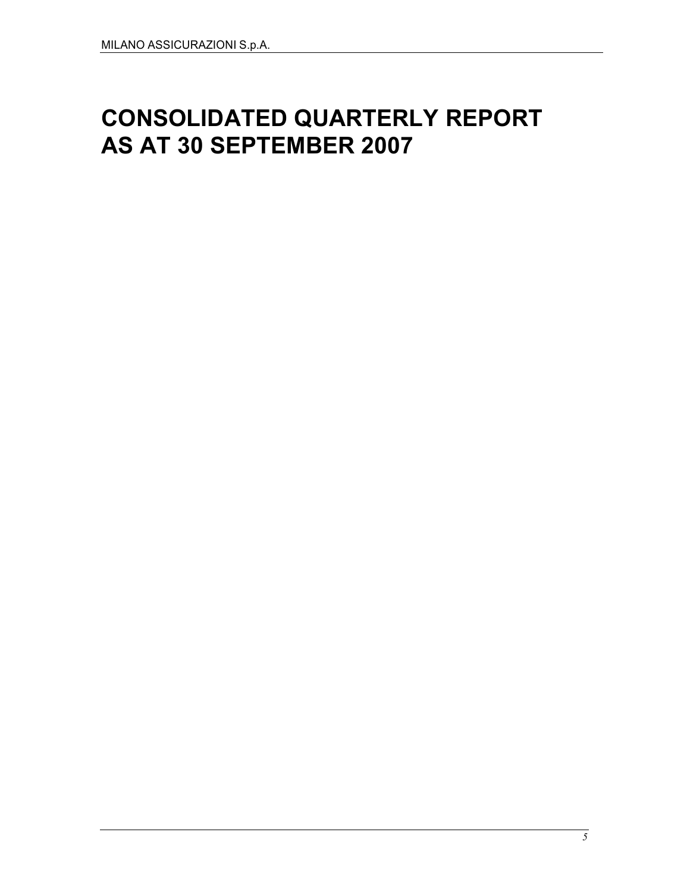# CONSOLIDATED QUARTERLY REPORT AS AT 30 SEPTEMBER 2007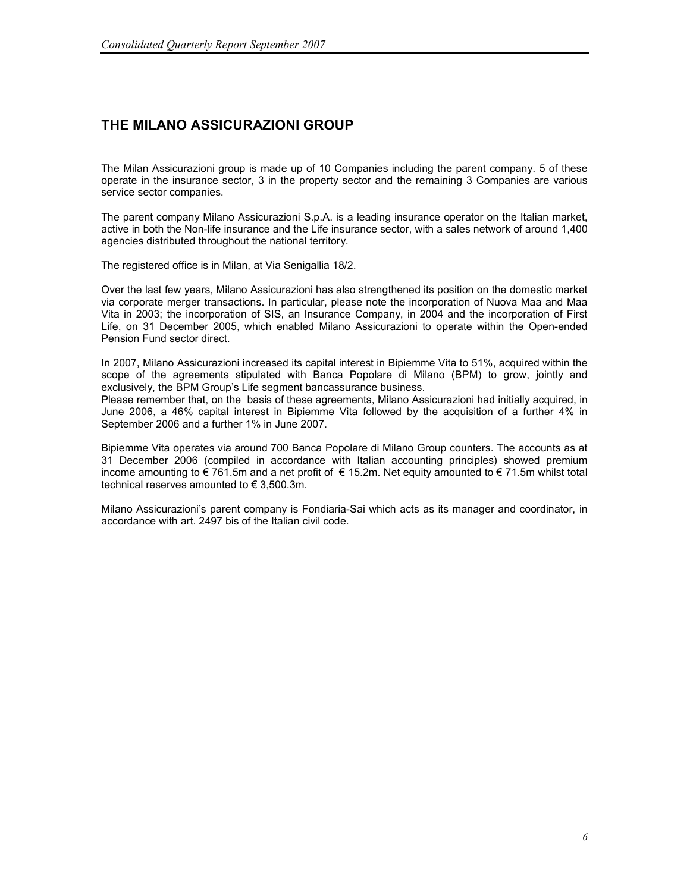## THE MILANO ASSICURAZIONI GROUP

The Milan Assicurazioni group is made up of 10 Companies including the parent company. 5 of these operate in the insurance sector, 3 in the property sector and the remaining 3 Companies are various service sector companies.

The parent company Milano Assicurazioni S.p.A. is a leading insurance operator on the Italian market, active in both the Non-life insurance and the Life insurance sector, with a sales network of around 1,400 agencies distributed throughout the national territory.

The registered office is in Milan, at Via Senigallia 18/2.

Over the last few years, Milano Assicurazioni has also strengthened its position on the domestic market via corporate merger transactions. In particular, please note the incorporation of Nuova Maa and Maa Vita in 2003; the incorporation of SIS, an Insurance Company, in 2004 and the incorporation of First Life, on 31 December 2005, which enabled Milano Assicurazioni to operate within the Open-ended Pension Fund sector direct.

In 2007, Milano Assicurazioni increased its capital interest in Bipiemme Vita to 51%, acquired within the scope of the agreements stipulated with Banca Popolare di Milano (BPM) to grow, jointly and exclusively, the BPM Group's Life segment bancassurance business.

Please remember that, on the basis of these agreements, Milano Assicurazioni had initially acquired, in June 2006, a 46% capital interest in Bipiemme Vita followed by the acquisition of a further 4% in September 2006 and a further 1% in June 2007.

Bipiemme Vita operates via around 700 Banca Popolare di Milano Group counters. The accounts as at 31 December 2006 (compiled in accordance with Italian accounting principles) showed premium income amounting to € 761.5m and a net profit of € 15.2m. Net equity amounted to € 71.5m whilst total technical reserves amounted to € 3,500.3m.

Milano Assicurazioni's parent company is Fondiaria-Sai which acts as its manager and coordinator, in accordance with art. 2497 bis of the Italian civil code.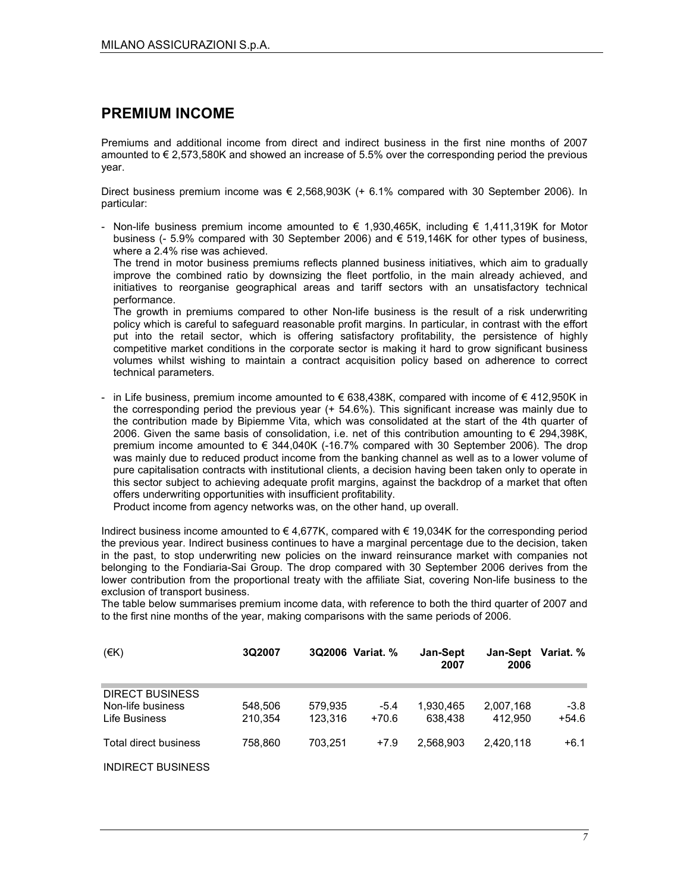## PREMIUM INCOME

Premiums and additional income from direct and indirect business in the first nine months of 2007 amounted to € 2,573,580K and showed an increase of 5.5% over the corresponding period the previous year.

Direct business premium income was € 2,568,903K (+ 6.1% compared with 30 September 2006). In particular:

- Non-life business premium income amounted to  $\epsilon$  1,930,465K, including  $\epsilon$  1,411,319K for Motor business (- 5.9% compared with 30 September 2006) and € 519,146K for other types of business, where a 2.4% rise was achieved.

The trend in motor business premiums reflects planned business initiatives, which aim to gradually improve the combined ratio by downsizing the fleet portfolio, in the main already achieved, and initiatives to reorganise geographical areas and tariff sectors with an unsatisfactory technical performance.

The growth in premiums compared to other Non-life business is the result of a risk underwriting policy which is careful to safeguard reasonable profit margins. In particular, in contrast with the effort put into the retail sector, which is offering satisfactory profitability, the persistence of highly competitive market conditions in the corporate sector is making it hard to grow significant business volumes whilst wishing to maintain a contract acquisition policy based on adherence to correct technical parameters.

- in Life business, premium income amounted to € 638,438K, compared with income of € 412,950K in the corresponding period the previous year (+ 54.6%). This significant increase was mainly due to the contribution made by Bipiemme Vita, which was consolidated at the start of the 4th quarter of 2006. Given the same basis of consolidation, i.e. net of this contribution amounting to  $\epsilon$  294,398K, premium income amounted to  $\epsilon$  344,040K (-16.7% compared with 30 September 2006). The drop was mainly due to reduced product income from the banking channel as well as to a lower volume of pure capitalisation contracts with institutional clients, a decision having been taken only to operate in this sector subject to achieving adequate profit margins, against the backdrop of a market that often offers underwriting opportunities with insufficient profitability.

Product income from agency networks was, on the other hand, up overall.

Indirect business income amounted to € 4,677K, compared with € 19,034K for the corresponding period the previous year. Indirect business continues to have a marginal percentage due to the decision, taken in the past, to stop underwriting new policies on the inward reinsurance market with companies not belonging to the Fondiaria-Sai Group. The drop compared with 30 September 2006 derives from the lower contribution from the proportional treaty with the affiliate Siat, covering Non-life business to the exclusion of transport business.

The table below summarises premium income data, with reference to both the third quarter of 2007 and to the first nine months of the year, making comparisons with the same periods of 2006.

| (EK)                                                         | 3Q2007             | 3Q2006 Variat. %   |                   | Jan-Sept<br>2007     | 2006                 | Jan-Sept Variat. % |
|--------------------------------------------------------------|--------------------|--------------------|-------------------|----------------------|----------------------|--------------------|
| <b>DIRECT BUSINESS</b><br>Non-life business<br>Life Business | 548.506<br>210.354 | 579.935<br>123.316 | $-5.4$<br>$+70.6$ | 1.930.465<br>638.438 | 2.007.168<br>412.950 | $-3.8$<br>$+54.6$  |
| Total direct business                                        | 758.860            | 703.251            | $+7.9$            | 2.568.903            | 2.420.118            | +6.1               |
| <b>INDIRECT BUSINESS</b>                                     |                    |                    |                   |                      |                      |                    |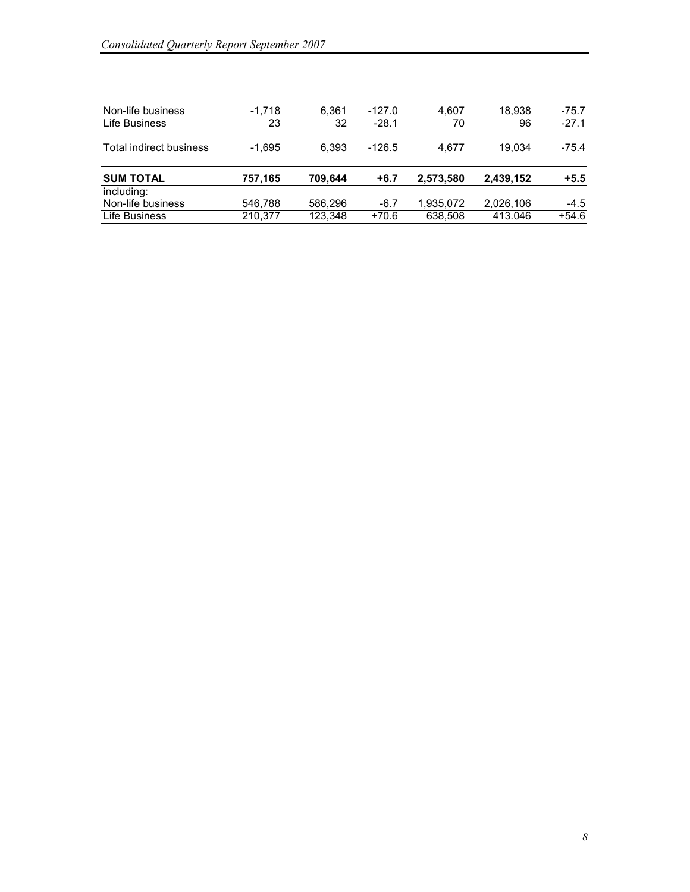| Non-life business<br>Life Business | $-1.718$<br>23 | 6.361<br>32 | $-127.0$<br>$-28.1$ | 4.607<br>70 | 18.938<br>96 | $-75.7$<br>$-27.1$ |
|------------------------------------|----------------|-------------|---------------------|-------------|--------------|--------------------|
| Total indirect business            | $-1.695$       | 6.393       | $-126.5$            | 4.677       | 19.034       | $-75.4$            |
| <b>SUM TOTAL</b><br>including:     | 757,165        | 709.644     | +6.7                | 2,573,580   | 2,439,152    | $+5.5$             |
| Non-life business                  | 546,788        | 586,296     | $-6.7$              | 1,935,072   | 2,026,106    | $-4.5$             |
| Life Business                      | 210.377        | 123,348     | $+70.6$             | 638,508     | 413.046      | $+54.6$            |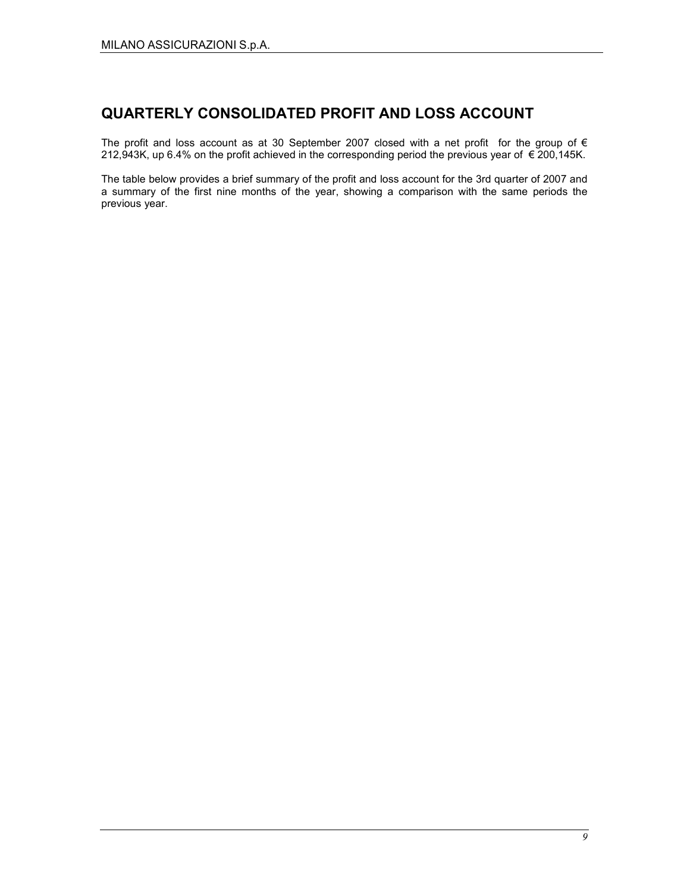## QUARTERLY CONSOLIDATED PROFIT AND LOSS ACCOUNT

The profit and loss account as at 30 September 2007 closed with a net profit for the group of  $\epsilon$ 212,943K, up 6.4% on the profit achieved in the corresponding period the previous year of € 200,145K.

The table below provides a brief summary of the profit and loss account for the 3rd quarter of 2007 and a summary of the first nine months of the year, showing a comparison with the same periods the previous year.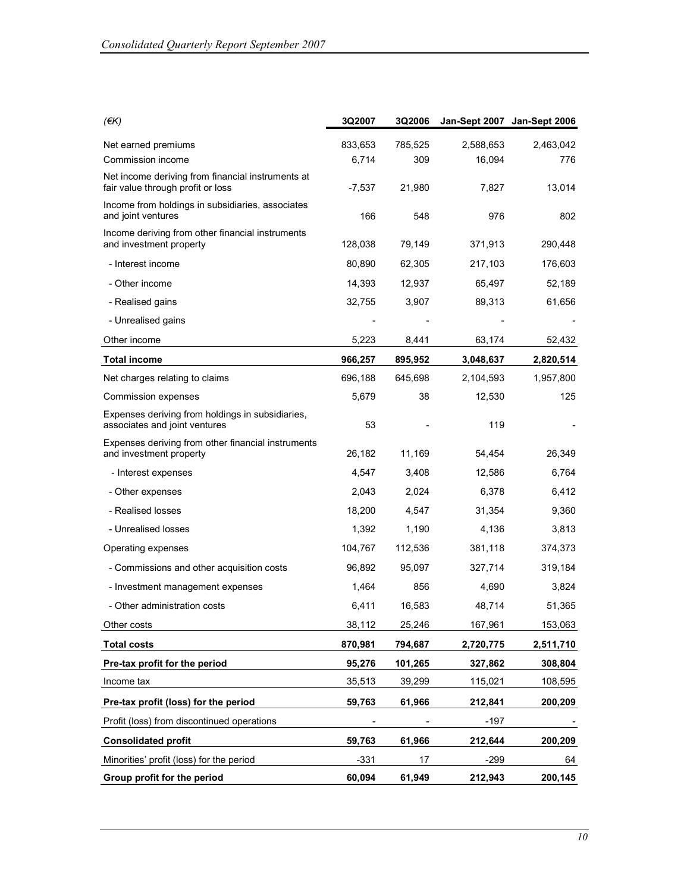| $($ $\notin$ K $)$                                                                     | 3Q2007   | <b>3Q2006</b> |           | Jan-Sept 2007 Jan-Sept 2006 |
|----------------------------------------------------------------------------------------|----------|---------------|-----------|-----------------------------|
| Net earned premiums                                                                    | 833,653  | 785,525       | 2,588,653 | 2,463,042                   |
| Commission income                                                                      | 6,714    | 309           | 16,094    | 776                         |
| Net income deriving from financial instruments at<br>fair value through profit or loss | $-7,537$ | 21,980        | 7,827     | 13,014                      |
| Income from holdings in subsidiaries, associates<br>and joint ventures                 | 166      | 548           | 976       | 802                         |
| Income deriving from other financial instruments<br>and investment property            | 128,038  | 79,149        | 371,913   | 290,448                     |
| - Interest income                                                                      | 80,890   | 62,305        | 217,103   | 176,603                     |
| - Other income                                                                         | 14,393   | 12,937        | 65,497    | 52,189                      |
| - Realised gains                                                                       | 32,755   | 3,907         | 89,313    | 61,656                      |
| - Unrealised gains                                                                     |          |               |           |                             |
| Other income                                                                           | 5,223    | 8,441         | 63,174    | 52,432                      |
| <b>Total income</b>                                                                    | 966,257  | 895,952       | 3,048,637 | 2,820,514                   |
| Net charges relating to claims                                                         | 696,188  | 645,698       | 2,104,593 | 1,957,800                   |
| Commission expenses                                                                    | 5,679    | 38            | 12,530    | 125                         |
| Expenses deriving from holdings in subsidiaries,<br>associates and joint ventures      | 53       |               | 119       |                             |
| Expenses deriving from other financial instruments                                     |          |               |           |                             |
| and investment property                                                                | 26,182   | 11,169        | 54,454    | 26,349                      |
| - Interest expenses                                                                    | 4,547    | 3,408         | 12,586    | 6,764                       |
| - Other expenses                                                                       | 2,043    | 2,024         | 6,378     | 6,412                       |
| - Realised losses                                                                      | 18,200   | 4,547         | 31,354    | 9,360                       |
| - Unrealised losses                                                                    | 1,392    | 1,190         | 4,136     | 3,813                       |
| Operating expenses                                                                     | 104,767  | 112,536       | 381,118   | 374,373                     |
| - Commissions and other acquisition costs                                              | 96,892   | 95,097        | 327,714   | 319,184                     |
| - Investment management expenses                                                       | 1,464    | 856           | 4,690     | 3,824                       |
| - Other administration costs                                                           | 6,411    | 16,583        | 48,714    | 51,365                      |
| Other costs                                                                            | 38,112   | 25,246        | 167,961   | 153,063                     |
| <b>Total costs</b>                                                                     | 870,981  | 794,687       | 2,720,775 | 2,511,710                   |
| Pre-tax profit for the period                                                          | 95,276   | 101,265       | 327,862   | 308,804                     |
| Income tax                                                                             | 35,513   | 39,299        | 115,021   | 108,595                     |
| Pre-tax profit (loss) for the period                                                   | 59,763   | 61,966        | 212,841   | 200,209                     |
| Profit (loss) from discontinued operations                                             |          |               | $-197$    |                             |
| <b>Consolidated profit</b>                                                             | 59.763   | 61,966        | 212,644   | 200,209                     |
| Minorities' profit (loss) for the period                                               | $-331$   | 17            | $-299$    | 64                          |
| Group profit for the period                                                            | 60,094   | 61,949        | 212,943   | 200,145                     |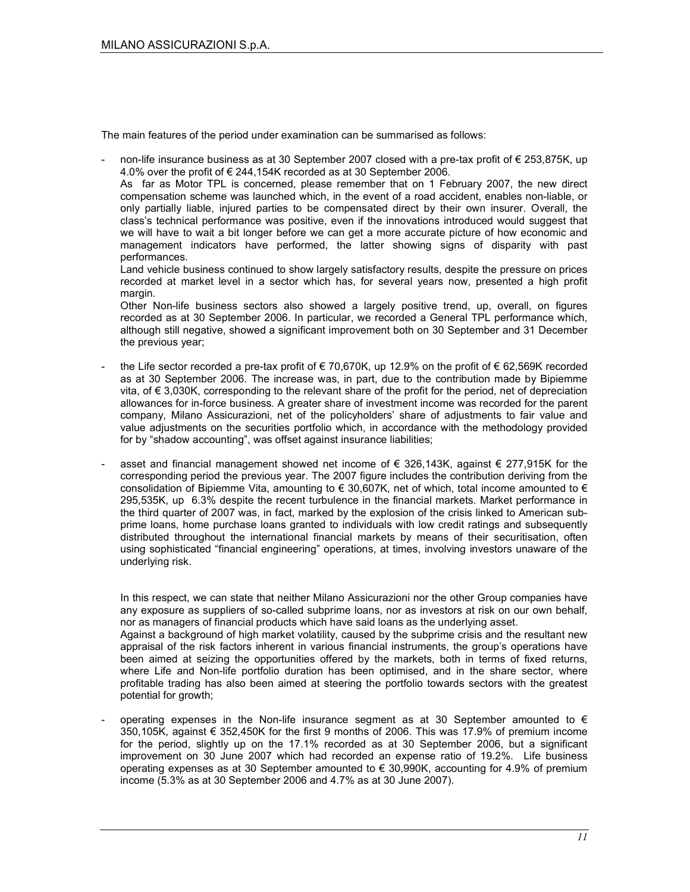The main features of the period under examination can be summarised as follows:

non-life insurance business as at 30 September 2007 closed with a pre-tax profit of  $\epsilon$  253,875K, up 4.0% over the profit of € 244,154K recorded as at 30 September 2006.

As far as Motor TPL is concerned, please remember that on 1 February 2007, the new direct compensation scheme was launched which, in the event of a road accident, enables non-liable, or only partially liable, injured parties to be compensated direct by their own insurer. Overall, the class's technical performance was positive, even if the innovations introduced would suggest that we will have to wait a bit longer before we can get a more accurate picture of how economic and management indicators have performed, the latter showing signs of disparity with past performances.

Land vehicle business continued to show largely satisfactory results, despite the pressure on prices recorded at market level in a sector which has, for several years now, presented a high profit margin.

Other Non-life business sectors also showed a largely positive trend, up, overall, on figures recorded as at 30 September 2006. In particular, we recorded a General TPL performance which, although still negative, showed a significant improvement both on 30 September and 31 December the previous year;

- the Life sector recorded a pre-tax profit of  $\epsilon$  70,670K, up 12.9% on the profit of  $\epsilon$  62,569K recorded as at 30 September 2006. The increase was, in part, due to the contribution made by Bipiemme vita, of € 3,030K, corresponding to the relevant share of the profit for the period, net of depreciation allowances for in-force business. A greater share of investment income was recorded for the parent company, Milano Assicurazioni, net of the policyholders' share of adjustments to fair value and value adjustments on the securities portfolio which, in accordance with the methodology provided for by "shadow accounting", was offset against insurance liabilities;
- asset and financial management showed net income of € 326,143K, against  $€$  277,915K for the corresponding period the previous year. The 2007 figure includes the contribution deriving from the consolidation of Bipiemme Vita, amounting to  $\epsilon$  30,607K, net of which, total income amounted to  $\epsilon$ 295,535K, up 6.3% despite the recent turbulence in the financial markets. Market performance in the third quarter of 2007 was, in fact, marked by the explosion of the crisis linked to American subprime loans, home purchase loans granted to individuals with low credit ratings and subsequently distributed throughout the international financial markets by means of their securitisation, often using sophisticated "financial engineering" operations, at times, involving investors unaware of the underlying risk.

In this respect, we can state that neither Milano Assicurazioni nor the other Group companies have any exposure as suppliers of so-called subprime loans, nor as investors at risk on our own behalf, nor as managers of financial products which have said loans as the underlying asset. Against a background of high market volatility, caused by the subprime crisis and the resultant new appraisal of the risk factors inherent in various financial instruments, the group's operations have been aimed at seizing the opportunities offered by the markets, both in terms of fixed returns, where Life and Non-life portfolio duration has been optimised, and in the share sector, where profitable trading has also been aimed at steering the portfolio towards sectors with the greatest potential for growth;

operating expenses in the Non-life insurance segment as at 30 September amounted to  $\epsilon$ 350,105K, against € 352,450K for the first 9 months of 2006. This was 17.9% of premium income for the period, slightly up on the 17.1% recorded as at 30 September 2006, but a significant improvement on 30 June 2007 which had recorded an expense ratio of 19.2%. Life business operating expenses as at 30 September amounted to € 30,990K, accounting for 4.9% of premium income (5.3% as at 30 September 2006 and 4.7% as at 30 June 2007).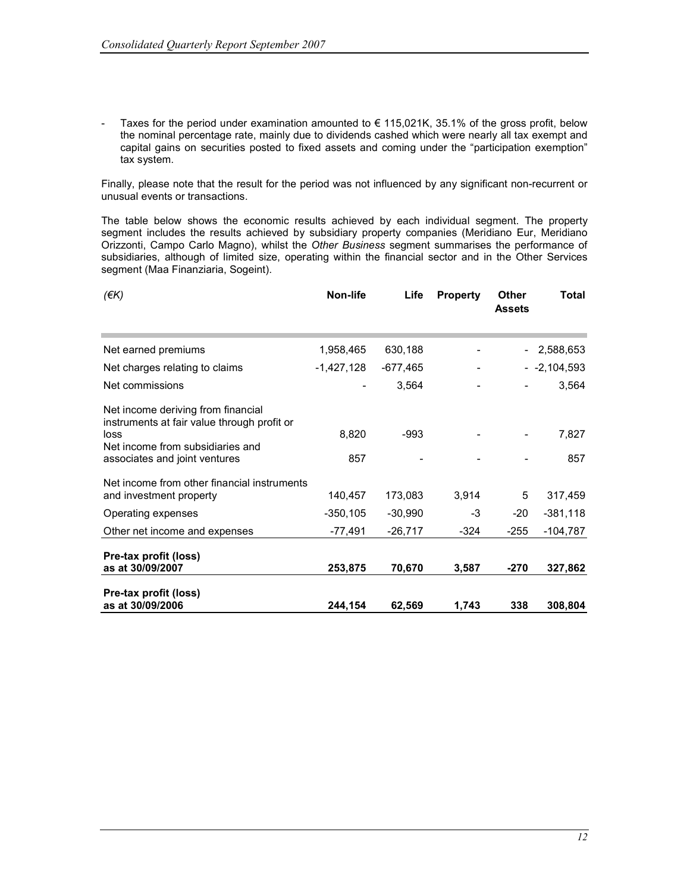Taxes for the period under examination amounted to  $\epsilon$  115,021K, 35.1% of the gross profit, below the nominal percentage rate, mainly due to dividends cashed which were nearly all tax exempt and capital gains on securities posted to fixed assets and coming under the "participation exemption" tax system.

Finally, please note that the result for the period was not influenced by any significant non-recurrent or unusual events or transactions.

The table below shows the economic results achieved by each individual segment. The property segment includes the results achieved by subsidiary property companies (Meridiano Eur, Meridiano Orizzonti, Campo Carlo Magno), whilst the Other Business segment summarises the performance of subsidiaries, although of limited size, operating within the financial sector and in the Other Services segment (Maa Finanziaria, Sogeint).

| $(\epsilon K)$                                                                            | Non-life    | Life      | <b>Property</b> | Other<br><b>Assets</b> | Total        |
|-------------------------------------------------------------------------------------------|-------------|-----------|-----------------|------------------------|--------------|
| Net earned premiums                                                                       | 1,958,465   | 630,188   |                 |                        | - 2,588,653  |
| Net charges relating to claims                                                            | -1,427,128  | -677,465  |                 |                        | $-2,104,593$ |
| Net commissions                                                                           |             | 3,564     |                 |                        | 3,564        |
| Net income deriving from financial<br>instruments at fair value through profit or<br>loss | 8,820       | -993      |                 |                        | 7,827        |
| Net income from subsidiaries and<br>associates and joint ventures                         | 857         |           |                 |                        | 857          |
| Net income from other financial instruments<br>and investment property                    | 140,457     | 173,083   | 3,914           | 5                      | 317,459      |
| Operating expenses                                                                        | $-350, 105$ | $-30,990$ | $-3$            | -20                    | $-381,118$   |
| Other net income and expenses                                                             | -77,491     | $-26,717$ | -324            | $-255$                 | $-104,787$   |
| Pre-tax profit (loss)<br>as at 30/09/2007                                                 | 253,875     | 70,670    | 3,587           | -270                   | 327,862      |
| Pre-tax profit (loss)<br>as at 30/09/2006                                                 | 244,154     | 62,569    | 1,743           | 338                    | 308,804      |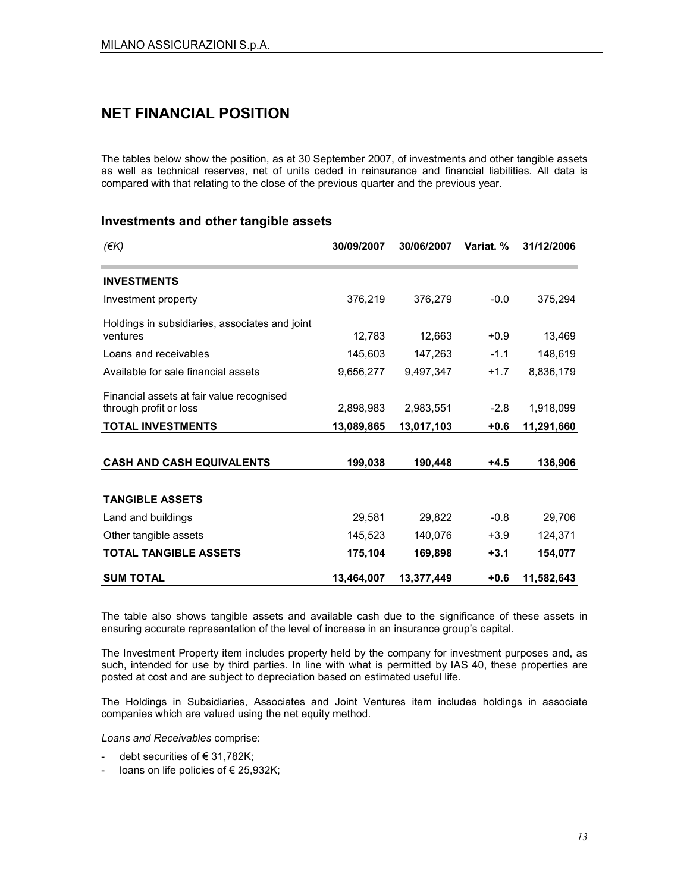## NET FINANCIAL POSITION

The tables below show the position, as at 30 September 2007, of investments and other tangible assets as well as technical reserves, net of units ceded in reinsurance and financial liabilities. All data is compared with that relating to the close of the previous quarter and the previous year.

#### Investments and other tangible assets

| $($ $\notin$ K $)$                                                  | 30/09/2007 | 30/06/2007 | Variat. % | 31/12/2006 |
|---------------------------------------------------------------------|------------|------------|-----------|------------|
| <b>INVESTMENTS</b>                                                  |            |            |           |            |
| Investment property                                                 | 376,219    | 376,279    | $-0.0$    | 375,294    |
| Holdings in subsidiaries, associates and joint<br>ventures          | 12,783     | 12,663     | $+0.9$    | 13,469     |
| Loans and receivables                                               | 145,603    | 147,263    | $-1.1$    | 148,619    |
| Available for sale financial assets                                 | 9,656,277  | 9,497,347  | $+1.7$    | 8,836,179  |
| Financial assets at fair value recognised<br>through profit or loss | 2,898,983  | 2,983,551  | $-2.8$    | 1,918,099  |
| <b>TOTAL INVESTMENTS</b>                                            | 13,089,865 | 13,017,103 | $+0.6$    | 11,291,660 |
|                                                                     |            |            |           |            |
| <b>CASH AND CASH EQUIVALENTS</b>                                    | 199,038    | 190,448    | $+4.5$    | 136,906    |
| <b>TANGIBLE ASSETS</b>                                              |            |            |           |            |
| Land and buildings                                                  | 29,581     | 29,822     | $-0.8$    | 29,706     |
| Other tangible assets                                               | 145,523    | 140,076    | $+3.9$    | 124,371    |
| <b>TOTAL TANGIBLE ASSETS</b>                                        | 175,104    | 169,898    | $+3.1$    | 154,077    |
| <b>SUM TOTAL</b>                                                    | 13,464,007 | 13,377,449 | $+0.6$    | 11,582,643 |

The table also shows tangible assets and available cash due to the significance of these assets in ensuring accurate representation of the level of increase in an insurance group's capital.

The Investment Property item includes property held by the company for investment purposes and, as such, intended for use by third parties. In line with what is permitted by IAS 40, these properties are posted at cost and are subject to depreciation based on estimated useful life.

The Holdings in Subsidiaries, Associates and Joint Ventures item includes holdings in associate companies which are valued using the net equity method.

Loans and Receivables comprise:

- debt securities of  $\in$  31,782K;
- loans on life policies of  $\epsilon$  25,932K;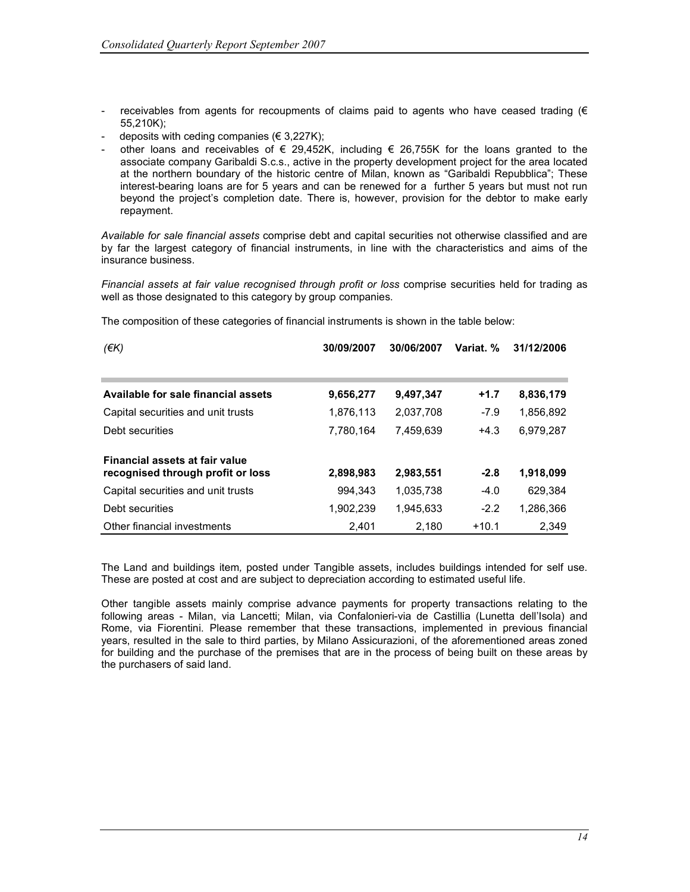- receivables from agents for recoupments of claims paid to agents who have ceased trading ( $\epsilon$ 55,210K);
- deposits with ceding companies ( $\in$  3,227K);
- other loans and receivables of  $\epsilon$  29,452K, including  $\epsilon$  26,755K for the loans granted to the associate company Garibaldi S.c.s., active in the property development project for the area located at the northern boundary of the historic centre of Milan, known as "Garibaldi Repubblica"; These interest-bearing loans are for 5 years and can be renewed for a further 5 years but must not run beyond the project's completion date. There is, however, provision for the debtor to make early repayment.

Available for sale financial assets comprise debt and capital securities not otherwise classified and are by far the largest category of financial instruments, in line with the characteristics and aims of the insurance business.

Financial assets at fair value recognised through profit or loss comprise securities held for trading as well as those designated to this category by group companies.

| (EK)                                                                | 30/09/2007 | 30/06/2007 | Variat. % | 31/12/2006 |
|---------------------------------------------------------------------|------------|------------|-----------|------------|
|                                                                     |            |            |           |            |
| Available for sale financial assets                                 | 9,656,277  | 9,497,347  | $+1.7$    | 8,836,179  |
| Capital securities and unit trusts                                  | 1,876,113  | 2,037,708  | $-7.9$    | 1,856,892  |
| Debt securities                                                     | 7,780,164  | 7,459,639  | $+4.3$    | 6,979,287  |
| Financial assets at fair value<br>recognised through profit or loss | 2,898,983  | 2,983,551  | $-2.8$    | 1,918,099  |
| Capital securities and unit trusts                                  | 994.343    | 1,035,738  | $-4.0$    | 629,384    |
| Debt securities                                                     | 1,902,239  | 1,945,633  | $-2.2$    | 1,286,366  |
| Other financial investments                                         | 2.401      | 2.180      | $+10.1$   | 2.349      |

The composition of these categories of financial instruments is shown in the table below:

The Land and buildings item, posted under Tangible assets, includes buildings intended for self use. These are posted at cost and are subject to depreciation according to estimated useful life.

Other tangible assets mainly comprise advance payments for property transactions relating to the following areas - Milan, via Lancetti; Milan, via Confalonieri-via de Castillia (Lunetta dell'Isola) and Rome, via Fiorentini. Please remember that these transactions, implemented in previous financial years, resulted in the sale to third parties, by Milano Assicurazioni, of the aforementioned areas zoned for building and the purchase of the premises that are in the process of being built on these areas by the purchasers of said land.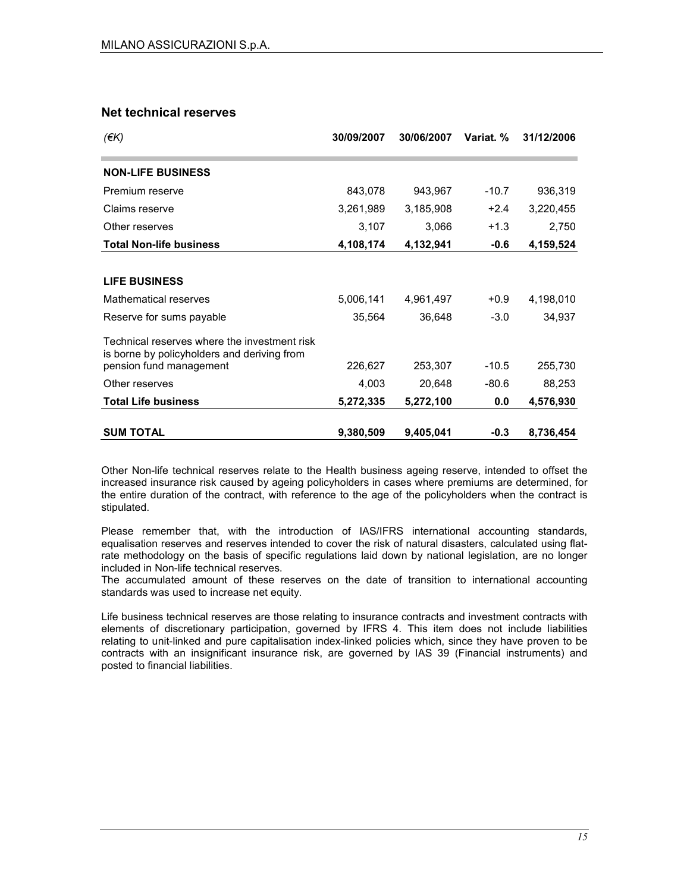#### Net technical reserves

| (EK)                                                                                        | 30/09/2007 | 30/06/2007 | Variat. % | 31/12/2006 |
|---------------------------------------------------------------------------------------------|------------|------------|-----------|------------|
| <b>NON-LIFE BUSINESS</b>                                                                    |            |            |           |            |
| Premium reserve                                                                             | 843,078    | 943,967    | $-10.7$   | 936,319    |
| Claims reserve                                                                              | 3,261,989  | 3,185,908  | $+2.4$    | 3,220,455  |
| Other reserves                                                                              | 3,107      | 3,066      | $+1.3$    | 2,750      |
| <b>Total Non-life business</b>                                                              | 4,108,174  | 4,132,941  | $-0.6$    | 4,159,524  |
|                                                                                             |            |            |           |            |
| <b>LIFE BUSINESS</b>                                                                        |            |            |           |            |
| Mathematical reserves                                                                       | 5,006,141  | 4,961,497  | $+0.9$    | 4,198,010  |
| Reserve for sums payable                                                                    | 35,564     | 36,648     | $-3.0$    | 34,937     |
| Technical reserves where the investment risk<br>is borne by policyholders and deriving from |            |            |           |            |
| pension fund management                                                                     | 226,627    | 253,307    | $-10.5$   | 255,730    |
| Other reserves                                                                              | 4,003      | 20,648     | $-80.6$   | 88,253     |
| <b>Total Life business</b>                                                                  | 5,272,335  | 5,272,100  | 0.0       | 4,576,930  |
| <b>SUM TOTAL</b>                                                                            | 9,380,509  | 9,405,041  | $-0.3$    | 8,736,454  |

Other Non-life technical reserves relate to the Health business ageing reserve, intended to offset the increased insurance risk caused by ageing policyholders in cases where premiums are determined, for the entire duration of the contract, with reference to the age of the policyholders when the contract is stipulated.

Please remember that, with the introduction of IAS/IFRS international accounting standards, equalisation reserves and reserves intended to cover the risk of natural disasters, calculated using flatrate methodology on the basis of specific regulations laid down by national legislation, are no longer included in Non-life technical reserves.

The accumulated amount of these reserves on the date of transition to international accounting standards was used to increase net equity.

Life business technical reserves are those relating to insurance contracts and investment contracts with elements of discretionary participation, governed by IFRS 4. This item does not include liabilities relating to unit-linked and pure capitalisation index-linked policies which, since they have proven to be contracts with an insignificant insurance risk, are governed by IAS 39 (Financial instruments) and posted to financial liabilities.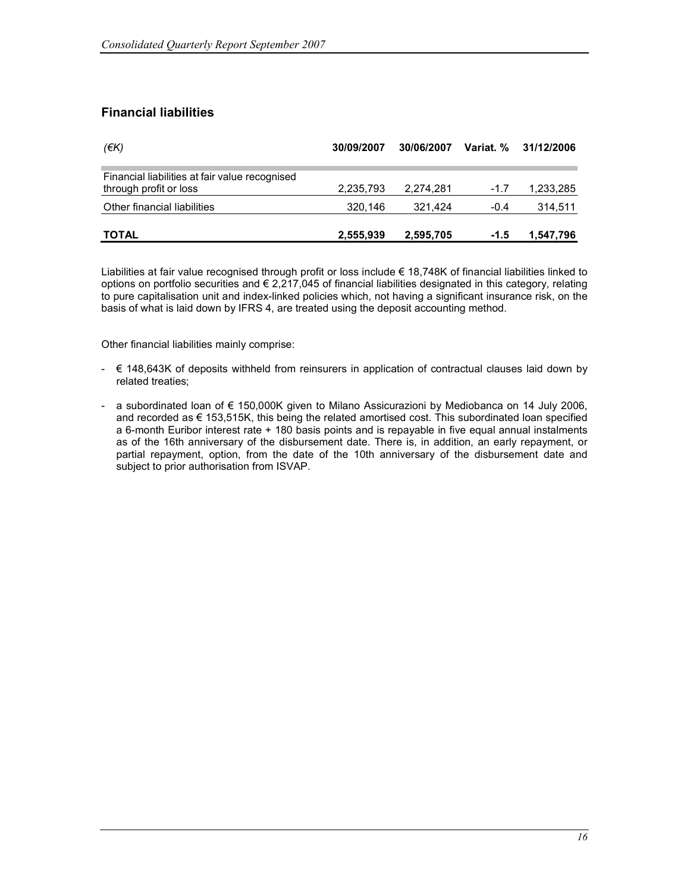## Financial liabilities

| (EK)                                                                     | 30/09/2007 | 30/06/2007 | Variat. % | 31/12/2006 |
|--------------------------------------------------------------------------|------------|------------|-----------|------------|
| Financial liabilities at fair value recognised<br>through profit or loss | 2,235,793  | 2,274,281  | $-1.7$    | 1,233,285  |
| Other financial liabilities                                              | 320,146    | 321.424    | $-0.4$    | 314,511    |
| <b>TOTAL</b>                                                             | 2,555,939  | 2,595,705  | $-1.5$    | 1,547,796  |

Liabilities at fair value recognised through profit or loss include € 18,748K of financial liabilities linked to options on portfolio securities and  $\epsilon$  2,217,045 of financial liabilities designated in this category, relating to pure capitalisation unit and index-linked policies which, not having a significant insurance risk, on the basis of what is laid down by IFRS 4, are treated using the deposit accounting method.

Other financial liabilities mainly comprise:

- € 148,643K of deposits withheld from reinsurers in application of contractual clauses laid down by related treaties;
- a subordinated loan of € 150,000K given to Milano Assicurazioni by Mediobanca on 14 July 2006, and recorded as € 153,515K, this being the related amortised cost. This subordinated loan specified a 6-month Euribor interest rate + 180 basis points and is repayable in five equal annual instalments as of the 16th anniversary of the disbursement date. There is, in addition, an early repayment, or partial repayment, option, from the date of the 10th anniversary of the disbursement date and subject to prior authorisation from ISVAP.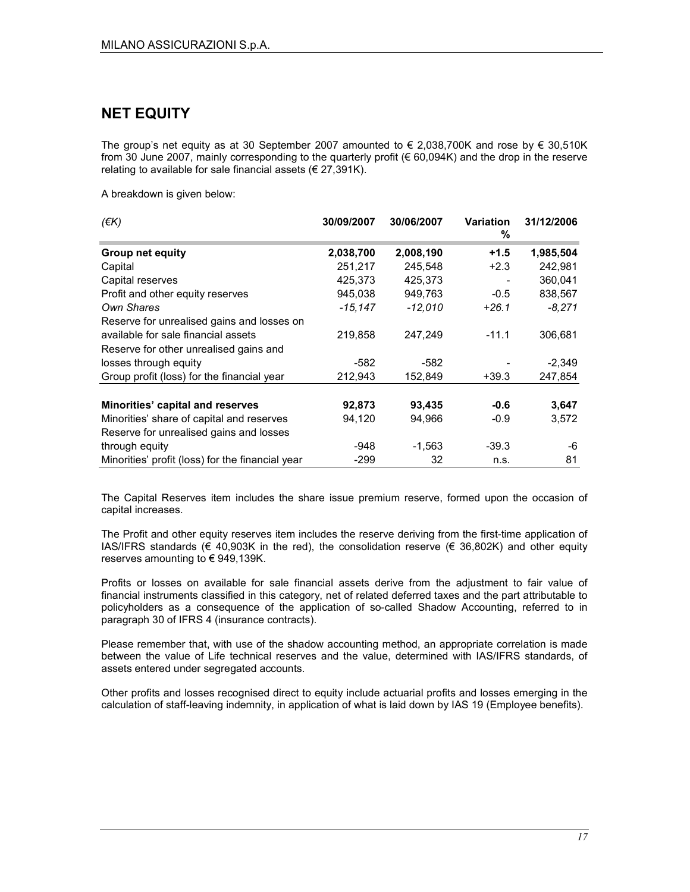## NET EQUITY

The group's net equity as at 30 September 2007 amounted to  $\epsilon$  2,038,700K and rose by  $\epsilon$  30,510K from 30 June 2007, mainly corresponding to the quarterly profit (€ 60,094K) and the drop in the reserve relating to available for sale financial assets ( $\epsilon$  27,391K).

A breakdown is given below:

| $($ $\notin$ K $)$                               | 30/09/2007 | 30/06/2007 | Variation<br>℅ | 31/12/2006 |
|--------------------------------------------------|------------|------------|----------------|------------|
| <b>Group net equity</b>                          | 2,038,700  | 2,008,190  | $+1.5$         | 1,985,504  |
| Capital                                          | 251,217    | 245,548    | $+2.3$         | 242,981    |
| Capital reserves                                 | 425,373    | 425,373    |                | 360,041    |
| Profit and other equity reserves                 | 945,038    | 949,763    | $-0.5$         | 838,567    |
| Own Shares                                       | $-15.147$  | $-12,010$  | $+26.1$        | $-8,271$   |
| Reserve for unrealised gains and losses on       |            |            |                |            |
| available for sale financial assets              | 219,858    | 247,249    | $-11.1$        | 306,681    |
| Reserve for other unrealised gains and           |            |            |                |            |
| losses through equity                            | $-582$     | -582       |                | $-2,349$   |
| Group profit (loss) for the financial year       | 212,943    | 152,849    | $+39.3$        | 247,854    |
| Minorities' capital and reserves                 | 92,873     | 93,435     | $-0.6$         | 3,647      |
| Minorities' share of capital and reserves        | 94,120     | 94,966     | $-0.9$         | 3,572      |
| Reserve for unrealised gains and losses          |            |            |                |            |
| through equity                                   | -948       | $-1,563$   | $-39.3$        | -6         |
| Minorities' profit (loss) for the financial year | $-299$     | 32         | n.s.           | 81         |

The Capital Reserves item includes the share issue premium reserve, formed upon the occasion of capital increases.

The Profit and other equity reserves item includes the reserve deriving from the first-time application of IAS/IFRS standards (€ 40,903K in the red), the consolidation reserve (€ 36,802K) and other equity reserves amounting to  $\in$  949,139K.

Profits or losses on available for sale financial assets derive from the adjustment to fair value of financial instruments classified in this category, net of related deferred taxes and the part attributable to policyholders as a consequence of the application of so-called Shadow Accounting, referred to in paragraph 30 of IFRS 4 (insurance contracts).

Please remember that, with use of the shadow accounting method, an appropriate correlation is made between the value of Life technical reserves and the value, determined with IAS/IFRS standards, of assets entered under segregated accounts.

Other profits and losses recognised direct to equity include actuarial profits and losses emerging in the calculation of staff-leaving indemnity, in application of what is laid down by IAS 19 (Employee benefits).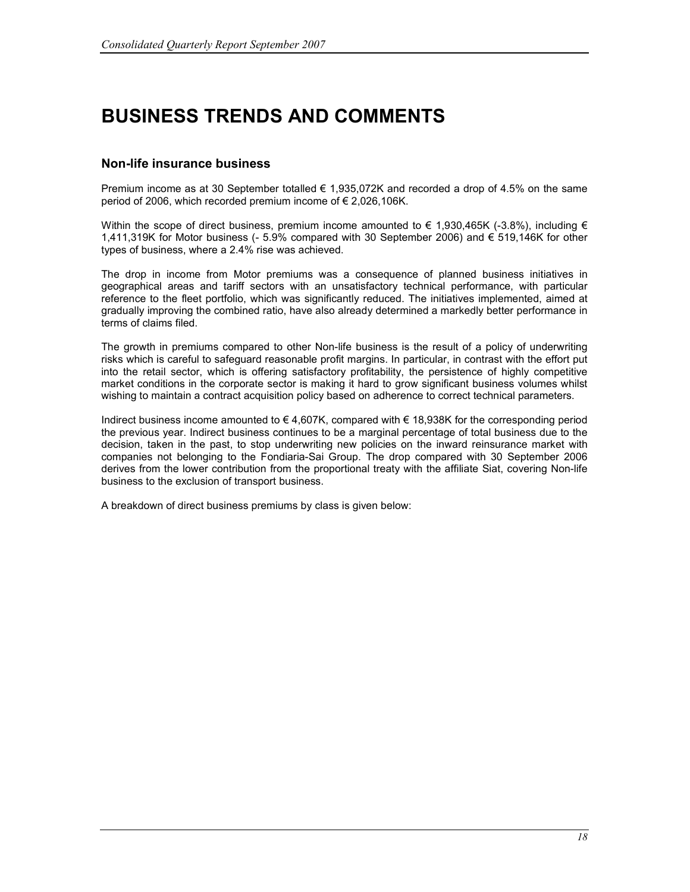# BUSINESS TRENDS AND COMMENTS

#### Non-life insurance business

Premium income as at 30 September totalled  $\epsilon$  1,935,072K and recorded a drop of 4.5% on the same period of 2006, which recorded premium income of € 2,026,106K.

Within the scope of direct business, premium income amounted to  $\epsilon$  1,930,465K (-3.8%), including  $\epsilon$ 1,411,319K for Motor business (- 5.9% compared with 30 September 2006) and € 519,146K for other types of business, where a 2.4% rise was achieved.

The drop in income from Motor premiums was a consequence of planned business initiatives in geographical areas and tariff sectors with an unsatisfactory technical performance, with particular reference to the fleet portfolio, which was significantly reduced. The initiatives implemented, aimed at gradually improving the combined ratio, have also already determined a markedly better performance in terms of claims filed.

The growth in premiums compared to other Non-life business is the result of a policy of underwriting risks which is careful to safeguard reasonable profit margins. In particular, in contrast with the effort put into the retail sector, which is offering satisfactory profitability, the persistence of highly competitive market conditions in the corporate sector is making it hard to grow significant business volumes whilst wishing to maintain a contract acquisition policy based on adherence to correct technical parameters.

Indirect business income amounted to € 4,607K, compared with € 18,938K for the corresponding period the previous year. Indirect business continues to be a marginal percentage of total business due to the decision, taken in the past, to stop underwriting new policies on the inward reinsurance market with companies not belonging to the Fondiaria-Sai Group. The drop compared with 30 September 2006 derives from the lower contribution from the proportional treaty with the affiliate Siat, covering Non-life business to the exclusion of transport business.

A breakdown of direct business premiums by class is given below: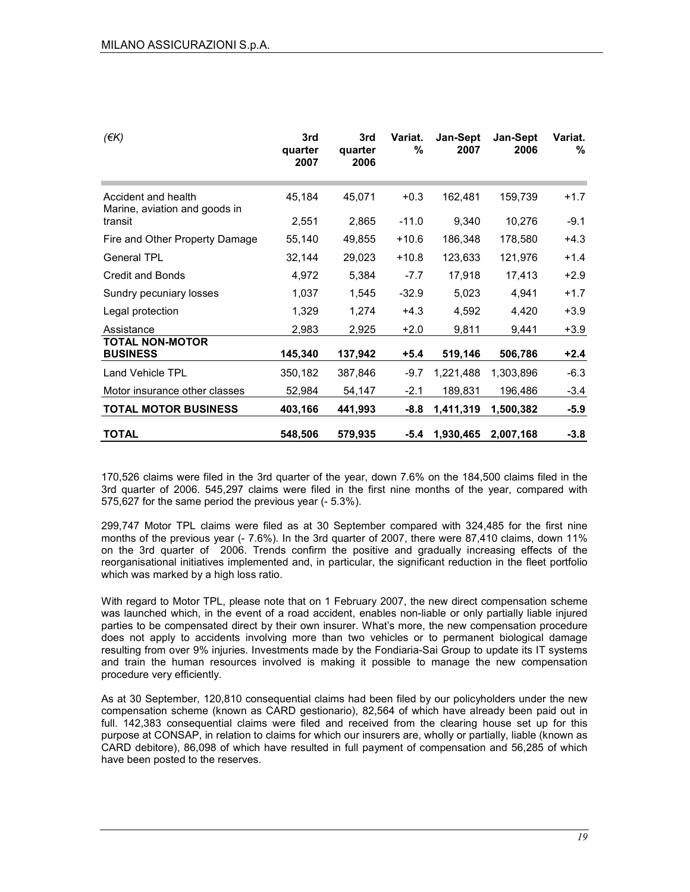| $(\epsilon K)$                                       | 3rd<br>quarter<br>2007 | 3rd<br>quarter<br>2006 | Variat.<br>% | <b>Jan-Sept</b><br>2007 | Jan-Sept<br>2006 | Variat.<br>℅ |
|------------------------------------------------------|------------------------|------------------------|--------------|-------------------------|------------------|--------------|
| Accident and health<br>Marine, aviation and goods in | 45,184                 | 45,071                 | $+0.3$       | 162,481                 | 159,739          | $+1.7$       |
| transit                                              | 2,551                  | 2,865                  | $-11.0$      | 9,340                   | 10,276           | $-9.1$       |
| Fire and Other Property Damage                       | 55,140                 | 49,855                 | $+10.6$      | 186,348                 | 178,580          | $+4.3$       |
| <b>General TPL</b>                                   | 32,144                 | 29,023                 | $+10.8$      | 123,633                 | 121,976          | $+1.4$       |
| <b>Credit and Bonds</b>                              | 4,972                  | 5,384                  | $-7.7$       | 17,918                  | 17,413           | $+2.9$       |
| Sundry pecuniary losses                              | 1,037                  | 1,545                  | $-32.9$      | 5,023                   | 4,941            | $+1.7$       |
| Legal protection                                     | 1,329                  | 1,274                  | $+4.3$       | 4,592                   | 4,420            | $+3.9$       |
| Assistance                                           | 2,983                  | 2,925                  | $+2.0$       | 9,811                   | 9,441            | +3.9         |
| <b>TOTAL NON-MOTOR</b><br><b>BUSINESS</b>            | 145,340                | 137,942                | $+5.4$       | 519,146                 | 506,786          | $+2.4$       |
| Land Vehicle TPL                                     | 350,182                | 387,846                | $-9.7$       | 1,221,488               | 1,303,896        | $-6.3$       |
| Motor insurance other classes                        | 52,984                 | 54,147                 | $-2.1$       | 189,831                 | 196,486          | $-3.4$       |
| <b>TOTAL MOTOR BUSINESS</b>                          | 403,166                | 441,993                | $-8.8$       | 1,411,319               | 1,500,382        | $-5.9$       |
| <b>TOTAL</b>                                         | 548,506                | 579,935                | -5.4         | 1,930,465               | 2,007,168        | $-3.8$       |

170,526 claims were filed in the 3rd quarter of the year, down 7.6% on the 184,500 claims filed in the 3rd quarter of 2006. 545,297 claims were filed in the first nine months of the year, compared with 575,627 for the same period the previous year (- 5.3%).

299,747 Motor TPL claims were filed as at 30 September compared with 324,485 for the first nine months of the previous year (- 7.6%). In the 3rd quarter of 2007, there were 87,410 claims, down 11% on the 3rd quarter of 2006. Trends confirm the positive and gradually increasing effects of the reorganisational initiatives implemented and, in particular, the significant reduction in the fleet portfolio which was marked by a high loss ratio.

With regard to Motor TPL, please note that on 1 February 2007, the new direct compensation scheme was launched which, in the event of a road accident, enables non-liable or only partially liable injured parties to be compensated direct by their own insurer. What's more, the new compensation procedure does not apply to accidents involving more than two vehicles or to permanent biological damage resulting from over 9% injuries. Investments made by the Fondiaria-Sai Group to update its IT systems and train the human resources involved is making it possible to manage the new compensation procedure very efficiently.

As at 30 September, 120,810 consequential claims had been filed by our policyholders under the new compensation scheme (known as CARD gestionario), 82,564 of which have already been paid out in full. 142,383 consequential claims were filed and received from the clearing house set up for this purpose at CONSAP, in relation to claims for which our insurers are, wholly or partially, liable (known as CARD debitore), 86,098 of which have resulted in full payment of compensation and 56,285 of which have been posted to the reserves.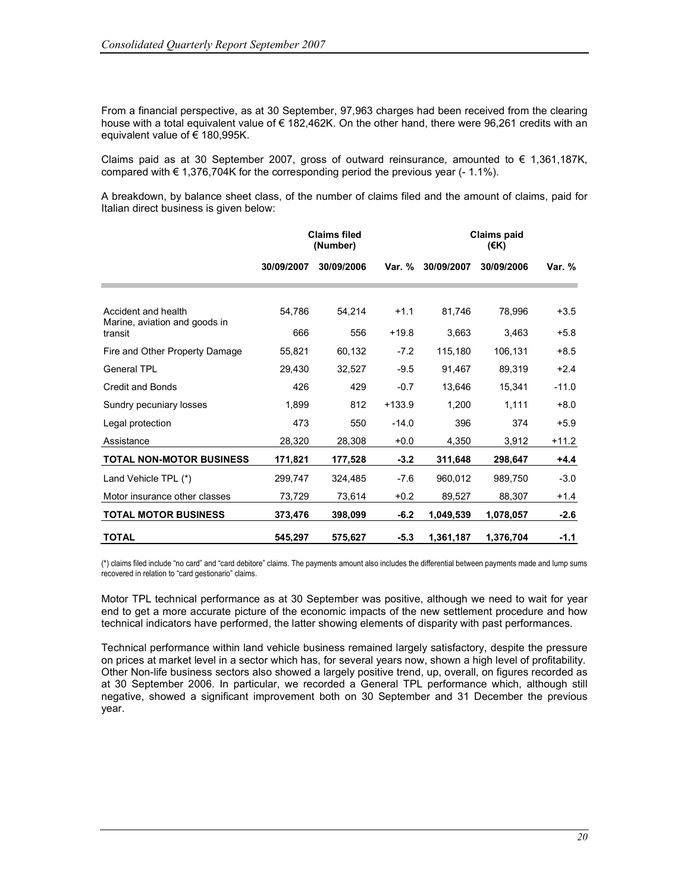From a financial perspective, as at 30 September, 97,963 charges had been received from the clearing house with a total equivalent value of € 182,462K. On the other hand, there were 96,261 credits with an equivalent value of € 180,995K.

Claims paid as at 30 September 2007, gross of outward reinsurance, amounted to  $\epsilon$  1,361,187K, compared with  $\epsilon$  1,376,704K for the corresponding period the previous year (-1.1%).

A breakdown, by balance sheet class, of the number of claims filed and the amount of claims, paid for Italian direct business is given below:

|                                          | <b>Claims filed</b><br>(Number) |            |          |            | <b>Claims paid</b> |          |
|------------------------------------------|---------------------------------|------------|----------|------------|--------------------|----------|
|                                          | 30/09/2007                      | 30/09/2006 | Var. %   | 30/09/2007 | 30/09/2006         | Var. $%$ |
|                                          |                                 |            |          |            |                    |          |
| Accident and health                      | 54,786                          | 54,214     | $+1.1$   | 81,746     | 78,996             | $+3.5$   |
| Marine, aviation and goods in<br>transit | 666                             | 556        | $+19.8$  | 3,663      | 3.463              | $+5.8$   |
| Fire and Other Property Damage           | 55,821                          | 60,132     | $-7.2$   | 115,180    | 106,131            | $+8.5$   |
| General TPL                              | 29.430                          | 32,527     | $-9.5$   | 91,467     | 89,319             | $+2.4$   |
| <b>Credit and Bonds</b>                  | 426                             | 429        | $-0.7$   | 13,646     | 15,341             | $-11.0$  |
| Sundry pecuniary losses                  | 1,899                           | 812        | $+133.9$ | 1,200      | 1,111              | $+8.0$   |
| Legal protection                         | 473                             | 550        | $-14.0$  | 396        | 374                | $+5.9$   |
| Assistance                               | 28,320                          | 28,308     | $+0.0$   | 4,350      | 3,912              | $+11.2$  |
| TOTAL NON-MOTOR BUSINESS                 | 171,821                         | 177,528    | $-3.2$   | 311,648    | 298,647            | $+4.4$   |
| Land Vehicle TPL (*)                     | 299,747                         | 324,485    | $-7.6$   | 960,012    | 989,750            | $-3.0$   |
| Motor insurance other classes            | 73,729                          | 73,614     | $+0.2$   | 89,527     | 88,307             | $+1.4$   |
| <b>TOTAL MOTOR BUSINESS</b>              | 373,476                         | 398,099    | $-6.2$   | 1,049,539  | 1,078,057          | $-2.6$   |
| <b>TOTAL</b>                             | 545,297                         | 575,627    | $-5.3$   | 1,361,187  | 1,376,704          | $-1.1$   |

(\*) claims filed include "no card" and "card debitore" claims. The payments amount also includes the differential between payments made and lump sums recovered in relation to "card gestionario" claims.

Motor TPL technical performance as at 30 September was positive, although we need to wait for year end to get a more accurate picture of the economic impacts of the new settlement procedure and how technical indicators have performed, the latter showing elements of disparity with past performances.

Technical performance within land vehicle business remained largely satisfactory, despite the pressure on prices at market level in a sector which has, for several years now, shown a high level of profitability. Other Non-life business sectors also showed a largely positive trend, up, overall, on figures recorded as at 30 September 2006. In particular, we recorded a General TPL performance which, although still negative, showed a significant improvement both on 30 September and 31 December the previous year.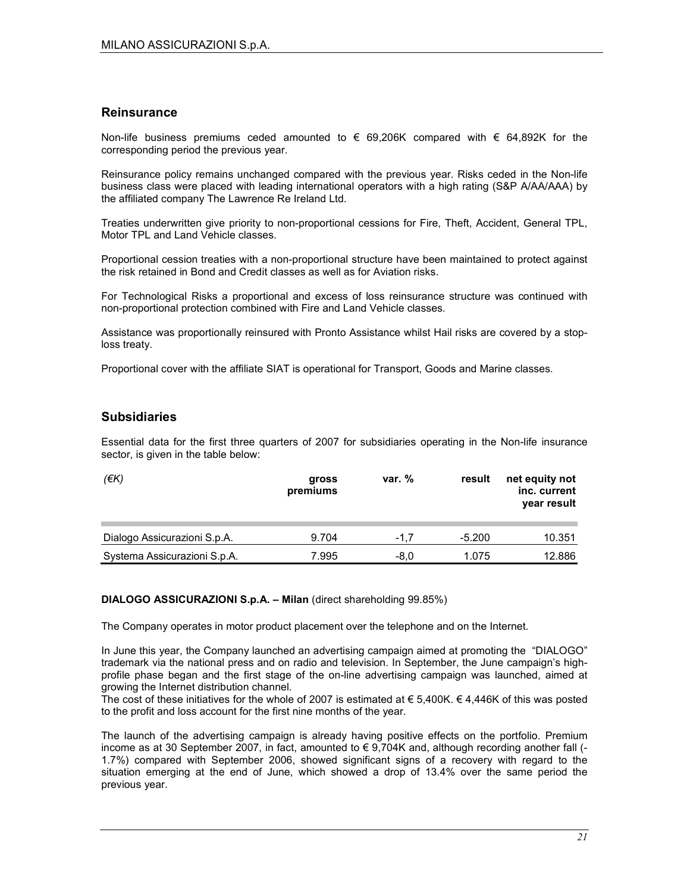#### **Reinsurance**

Non-life business premiums ceded amounted to  $€$  69,206K compared with  $€$  64,892K for the corresponding period the previous year.

Reinsurance policy remains unchanged compared with the previous year. Risks ceded in the Non-life business class were placed with leading international operators with a high rating (S&P A/AA/AAA) by the affiliated company The Lawrence Re Ireland Ltd.

Treaties underwritten give priority to non-proportional cessions for Fire, Theft, Accident, General TPL, Motor TPL and Land Vehicle classes.

Proportional cession treaties with a non-proportional structure have been maintained to protect against the risk retained in Bond and Credit classes as well as for Aviation risks.

For Technological Risks a proportional and excess of loss reinsurance structure was continued with non-proportional protection combined with Fire and Land Vehicle classes.

Assistance was proportionally reinsured with Pronto Assistance whilst Hail risks are covered by a stoploss treaty.

Proportional cover with the affiliate SIAT is operational for Transport, Goods and Marine classes.

#### **Subsidiaries**

Essential data for the first three quarters of 2007 for subsidiaries operating in the Non-life insurance sector, is given in the table below:

| $(\epsilon K)$               | gross<br>premiums | var. $%$ | result   | net equity not<br>inc. current<br>year result |
|------------------------------|-------------------|----------|----------|-----------------------------------------------|
| Dialogo Assicurazioni S.p.A. | 9.704             | $-1.7$   | $-5.200$ | 10.351                                        |
| Systema Assicurazioni S.p.A. | 7.995             | $-8.0$   | 1.075    | 12.886                                        |

#### DIALOGO ASSICURAZIONI S.p.A. – Milan (direct shareholding 99.85%)

The Company operates in motor product placement over the telephone and on the Internet.

In June this year, the Company launched an advertising campaign aimed at promoting the "DIALOGO" trademark via the national press and on radio and television. In September, the June campaign's highprofile phase began and the first stage of the on-line advertising campaign was launched, aimed at growing the Internet distribution channel.

The cost of these initiatives for the whole of 2007 is estimated at  $\epsilon$  5,400K.  $\epsilon$  4,446K of this was posted to the profit and loss account for the first nine months of the year.

The launch of the advertising campaign is already having positive effects on the portfolio. Premium income as at 30 September 2007, in fact, amounted to  $\epsilon$  9,704K and, although recording another fall (-1.7%) compared with September 2006, showed significant signs of a recovery with regard to the situation emerging at the end of June, which showed a drop of 13.4% over the same period the previous year.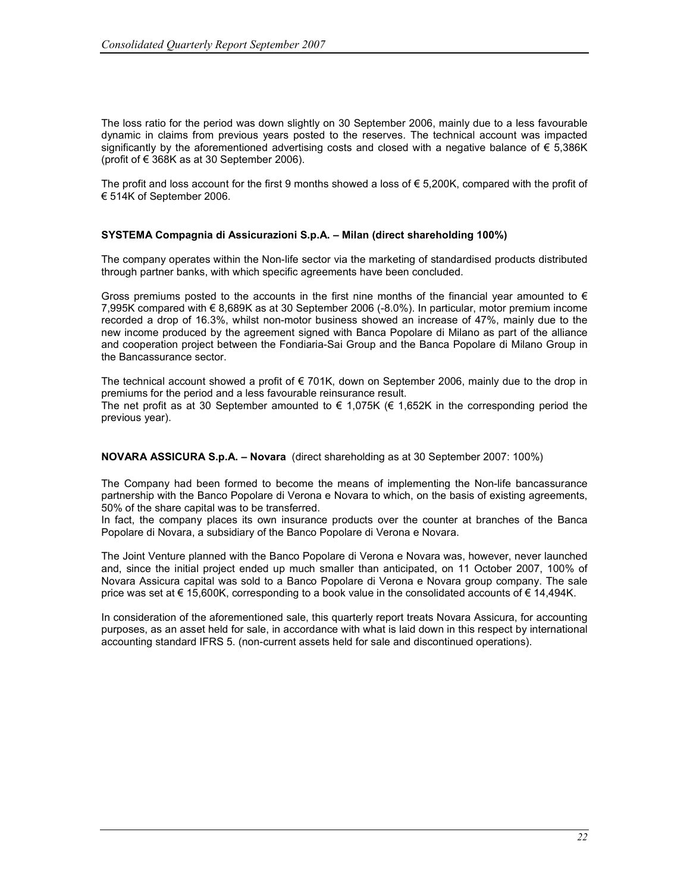The loss ratio for the period was down slightly on 30 September 2006, mainly due to a less favourable dynamic in claims from previous years posted to the reserves. The technical account was impacted significantly by the aforementioned advertising costs and closed with a negative balance of € 5,386K (profit of  $\epsilon$  368K as at 30 September 2006).

The profit and loss account for the first 9 months showed a loss of  $\epsilon$  5,200K, compared with the profit of € 514K of September 2006.

#### SYSTEMA Compagnia di Assicurazioni S.p.A. – Milan (direct shareholding 100%)

The company operates within the Non-life sector via the marketing of standardised products distributed through partner banks, with which specific agreements have been concluded.

Gross premiums posted to the accounts in the first nine months of the financial year amounted to  $\epsilon$ 7,995K compared with € 8,689K as at 30 September 2006 (-8.0%). In particular, motor premium income recorded a drop of 16.3%, whilst non-motor business showed an increase of 47%, mainly due to the new income produced by the agreement signed with Banca Popolare di Milano as part of the alliance and cooperation project between the Fondiaria-Sai Group and the Banca Popolare di Milano Group in the Bancassurance sector.

The technical account showed a profit of  $\epsilon$  701K, down on September 2006, mainly due to the drop in premiums for the period and a less favourable reinsurance result. The net profit as at 30 September amounted to  $\epsilon$  1,075K ( $\epsilon$  1,652K in the corresponding period the previous year).

NOVARA ASSICURA S.p.A. – Novara (direct shareholding as at 30 September 2007: 100%)

The Company had been formed to become the means of implementing the Non-life bancassurance partnership with the Banco Popolare di Verona e Novara to which, on the basis of existing agreements, 50% of the share capital was to be transferred.

In fact, the company places its own insurance products over the counter at branches of the Banca Popolare di Novara, a subsidiary of the Banco Popolare di Verona e Novara.

The Joint Venture planned with the Banco Popolare di Verona e Novara was, however, never launched and, since the initial project ended up much smaller than anticipated, on 11 October 2007, 100% of Novara Assicura capital was sold to a Banco Popolare di Verona e Novara group company. The sale price was set at € 15,600K, corresponding to a book value in the consolidated accounts of € 14,494K.

In consideration of the aforementioned sale, this quarterly report treats Novara Assicura, for accounting purposes, as an asset held for sale, in accordance with what is laid down in this respect by international accounting standard IFRS 5. (non-current assets held for sale and discontinued operations).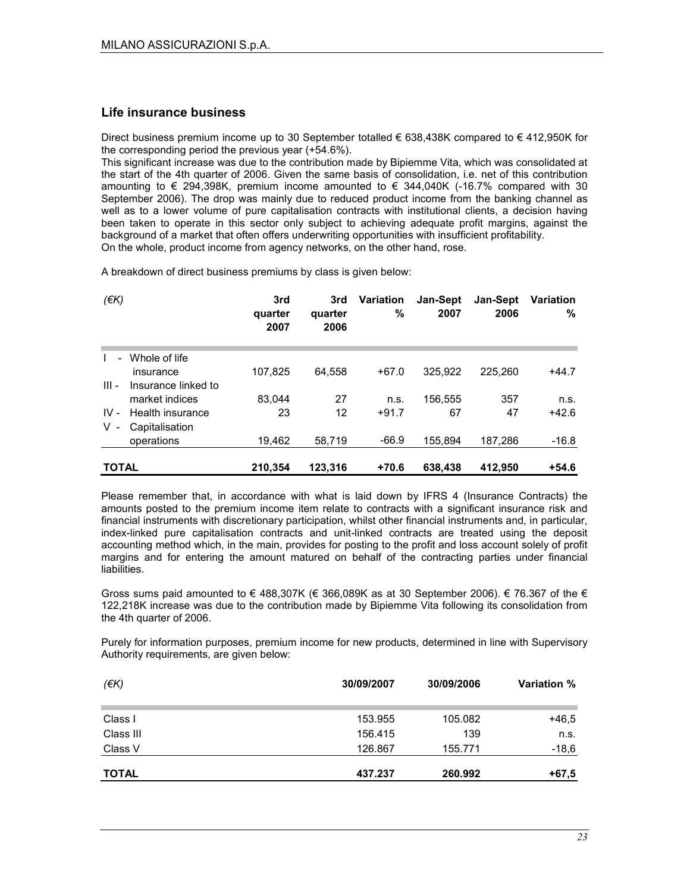#### Life insurance business

Direct business premium income up to 30 September totalled € 638,438K compared to € 412,950K for the corresponding period the previous year (+54.6%).

This significant increase was due to the contribution made by Bipiemme Vita, which was consolidated at the start of the 4th quarter of 2006. Given the same basis of consolidation, i.e. net of this contribution amounting to € 294,398K, premium income amounted to  $∈$  344,040K (-16.7% compared with 30 September 2006). The drop was mainly due to reduced product income from the banking channel as well as to a lower volume of pure capitalisation contracts with institutional clients, a decision having been taken to operate in this sector only subject to achieving adequate profit margins, against the background of a market that often offers underwriting opportunities with insufficient profitability. On the whole, product income from agency networks, on the other hand, rose.

A breakdown of direct business premiums by class is given below:

| $($ <del>€</del> K $)$   |                     | 3rd<br>quarter<br>2007 | 3rd<br>quarter<br>2006 | <b>Variation</b><br>$\%$ | <b>Jan-Sept</b><br>2007 | <b>Jan-Sept</b><br>2006 | <b>Variation</b><br>% |
|--------------------------|---------------------|------------------------|------------------------|--------------------------|-------------------------|-------------------------|-----------------------|
| $\overline{\phantom{0}}$ | Whole of life       |                        |                        |                          |                         |                         |                       |
|                          | insurance           | 107.825                | 64.558                 | $+67.0$                  | 325.922                 | 225.260                 | $+44.7$               |
| $III -$                  | Insurance linked to |                        |                        |                          |                         |                         |                       |
|                          | market indices      | 83.044                 | 27                     | n.s.                     | 156,555                 | 357                     | n.s.                  |
| $IV -$                   | Health insurance    | 23                     | 12                     | $+91.7$                  | 67                      | 47                      | $+42.6$               |
| v -                      | Capitalisation      |                        |                        |                          |                         |                         |                       |
|                          | operations          | 19.462                 | 58.719                 | $-66.9$                  | 155.894                 | 187.286                 | $-16.8$               |
| <b>TOTAL</b>             |                     | 210.354                | 123.316                | $+70.6$                  | 638,438                 | 412.950                 | $+54.6$               |

Please remember that, in accordance with what is laid down by IFRS 4 (Insurance Contracts) the amounts posted to the premium income item relate to contracts with a significant insurance risk and financial instruments with discretionary participation, whilst other financial instruments and, in particular, index-linked pure capitalisation contracts and unit-linked contracts are treated using the deposit accounting method which, in the main, provides for posting to the profit and loss account solely of profit margins and for entering the amount matured on behalf of the contracting parties under financial liabilities.

Gross sums paid amounted to  $\in$  488,307K ( $\in$  366,089K as at 30 September 2006).  $\in$  76.367 of the  $\in$ 122,218K increase was due to the contribution made by Bipiemme Vita following its consolidation from the 4th quarter of 2006.

Purely for information purposes, premium income for new products, determined in line with Supervisory Authority requirements, are given below:

| $(\epsilon K)$ | 30/09/2007 | 30/09/2006 | <b>Variation %</b> |
|----------------|------------|------------|--------------------|
| Class I        | 153.955    | 105.082    | $+46.5$            |
| Class III      | 156.415    | 139        | n.s.               |
| Class V        | 126.867    | 155.771    | $-18,6$            |
| <b>TOTAL</b>   | 437.237    | 260.992    | $+67,5$            |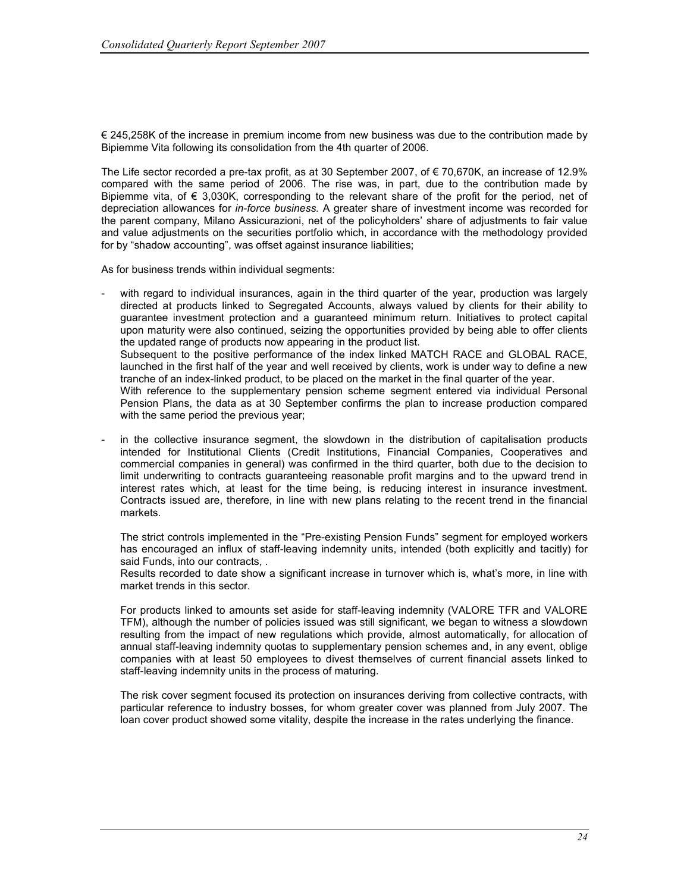€ 245,258K of the increase in premium income from new business was due to the contribution made by Bipiemme Vita following its consolidation from the 4th quarter of 2006.

The Life sector recorded a pre-tax profit, as at 30 September 2007, of € 70,670K, an increase of 12.9% compared with the same period of 2006. The rise was, in part, due to the contribution made by Bipiemme vita, of  $\epsilon$  3,030K, corresponding to the relevant share of the profit for the period, net of depreciation allowances for *in-force business*. A greater share of investment income was recorded for the parent company, Milano Assicurazioni, net of the policyholders' share of adjustments to fair value and value adjustments on the securities portfolio which, in accordance with the methodology provided for by "shadow accounting", was offset against insurance liabilities;

As for business trends within individual segments:

- with regard to individual insurances, again in the third quarter of the year, production was largely directed at products linked to Segregated Accounts, always valued by clients for their ability to guarantee investment protection and a guaranteed minimum return. Initiatives to protect capital upon maturity were also continued, seizing the opportunities provided by being able to offer clients the updated range of products now appearing in the product list. Subsequent to the positive performance of the index linked MATCH RACE and GLOBAL RACE, launched in the first half of the year and well received by clients, work is under way to define a new tranche of an index-linked product, to be placed on the market in the final quarter of the year. With reference to the supplementary pension scheme segment entered via individual Personal Pension Plans, the data as at 30 September confirms the plan to increase production compared with the same period the previous year;
- in the collective insurance segment, the slowdown in the distribution of capitalisation products intended for Institutional Clients (Credit Institutions, Financial Companies, Cooperatives and commercial companies in general) was confirmed in the third quarter, both due to the decision to limit underwriting to contracts guaranteeing reasonable profit margins and to the upward trend in interest rates which, at least for the time being, is reducing interest in insurance investment. Contracts issued are, therefore, in line with new plans relating to the recent trend in the financial markets.

The strict controls implemented in the "Pre-existing Pension Funds" segment for employed workers has encouraged an influx of staff-leaving indemnity units, intended (both explicitly and tacitly) for said Funds, into our contracts, .

Results recorded to date show a significant increase in turnover which is, what's more, in line with market trends in this sector.

For products linked to amounts set aside for staff-leaving indemnity (VALORE TFR and VALORE TFM), although the number of policies issued was still significant, we began to witness a slowdown resulting from the impact of new regulations which provide, almost automatically, for allocation of annual staff-leaving indemnity quotas to supplementary pension schemes and, in any event, oblige companies with at least 50 employees to divest themselves of current financial assets linked to staff-leaving indemnity units in the process of maturing.

The risk cover segment focused its protection on insurances deriving from collective contracts, with particular reference to industry bosses, for whom greater cover was planned from July 2007. The loan cover product showed some vitality, despite the increase in the rates underlying the finance.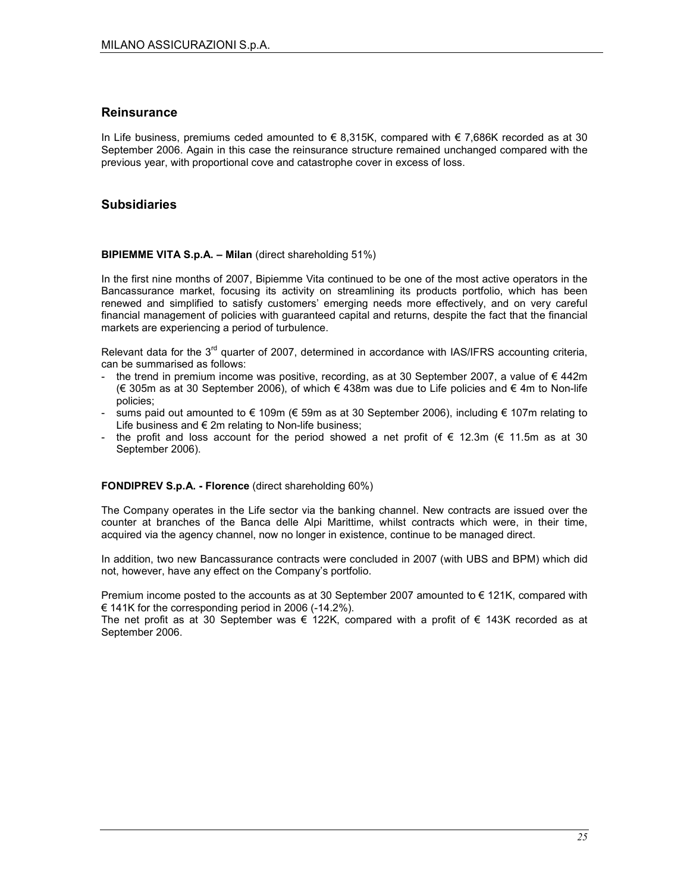#### **Reinsurance**

In Life business, premiums ceded amounted to  $\epsilon$  8,315K, compared with  $\epsilon$  7,686K recorded as at 30 September 2006. Again in this case the reinsurance structure remained unchanged compared with the previous year, with proportional cove and catastrophe cover in excess of loss.

#### **Subsidiaries**

#### BIPIEMME VITA S.p.A. – Milan (direct shareholding 51%)

In the first nine months of 2007, Bipiemme Vita continued to be one of the most active operators in the Bancassurance market, focusing its activity on streamlining its products portfolio, which has been renewed and simplified to satisfy customers' emerging needs more effectively, and on very careful financial management of policies with guaranteed capital and returns, despite the fact that the financial markets are experiencing a period of turbulence.

Relevant data for the  $3<sup>rd</sup>$  quarter of 2007, determined in accordance with IAS/IFRS accounting criteria, can be summarised as follows:

- the trend in premium income was positive, recording, as at 30 September 2007, a value of  $\epsilon$  442m (€ 305m as at 30 September 2006), of which € 438m was due to Life policies and € 4m to Non-life policies;
- sums paid out amounted to € 109m (€ 59m as at 30 September 2006), including € 107m relating to Life business and  $\epsilon$  2m relating to Non-life business;
- the profit and loss account for the period showed a net profit of  $\epsilon$  12.3m ( $\epsilon$  11.5m as at 30 September 2006).

#### FONDIPREV S.p.A. - Florence (direct shareholding 60%)

The Company operates in the Life sector via the banking channel. New contracts are issued over the counter at branches of the Banca delle Alpi Marittime, whilst contracts which were, in their time, acquired via the agency channel, now no longer in existence, continue to be managed direct.

In addition, two new Bancassurance contracts were concluded in 2007 (with UBS and BPM) which did not, however, have any effect on the Company's portfolio.

Premium income posted to the accounts as at 30 September 2007 amounted to  $\epsilon$  121K, compared with € 141K for the corresponding period in 2006 (-14.2%).

The net profit as at 30 September was  $\epsilon$  122K, compared with a profit of  $\epsilon$  143K recorded as at September 2006.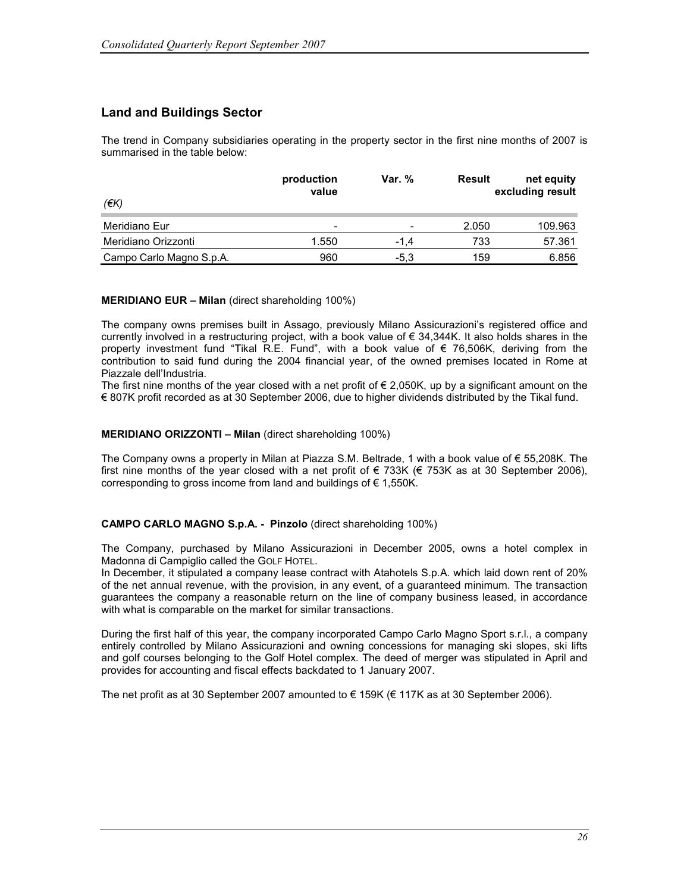### Land and Buildings Sector

The trend in Company subsidiaries operating in the property sector in the first nine months of 2007 is summarised in the table below:

| (€K)                     | production<br>value      | <b>Var.</b> %            | Result | net equity<br>excluding result |
|--------------------------|--------------------------|--------------------------|--------|--------------------------------|
| Meridiano Eur            | $\overline{\phantom{0}}$ | $\overline{\phantom{0}}$ | 2.050  | 109.963                        |
| Meridiano Orizzonti      | 1.550                    | -1.4                     | 733    | 57.361                         |
| Campo Carlo Magno S.p.A. | 960                      | $-5.3$                   | 159    | 6.856                          |

#### MERIDIANO EUR – Milan (direct shareholding 100%)

The company owns premises built in Assago, previously Milano Assicurazioni's registered office and currently involved in a restructuring project, with a book value of € 34,344K. It also holds shares in the property investment fund "Tikal R.E. Fund", with a book value of € 76,506K, deriving from the contribution to said fund during the 2004 financial year, of the owned premises located in Rome at Piazzale dell'Industria.

The first nine months of the year closed with a net profit of  $\epsilon$  2,050K, up by a significant amount on the € 807K profit recorded as at 30 September 2006, due to higher dividends distributed by the Tikal fund.

#### MERIDIANO ORIZZONTI – Milan (direct shareholding 100%)

The Company owns a property in Milan at Piazza S.M. Beltrade, 1 with a book value of € 55,208K. The first nine months of the year closed with a net profit of  $\epsilon$  733K ( $\epsilon$  753K as at 30 September 2006), corresponding to gross income from land and buildings of  $\epsilon$  1,550K.

#### CAMPO CARLO MAGNO S.p.A. - Pinzolo (direct shareholding 100%)

The Company, purchased by Milano Assicurazioni in December 2005, owns a hotel complex in Madonna di Campiglio called the GOLF HOTEL.

In December, it stipulated a company lease contract with Atahotels S.p.A. which laid down rent of 20% of the net annual revenue, with the provision, in any event, of a guaranteed minimum. The transaction guarantees the company a reasonable return on the line of company business leased, in accordance with what is comparable on the market for similar transactions.

During the first half of this year, the company incorporated Campo Carlo Magno Sport s.r.l., a company entirely controlled by Milano Assicurazioni and owning concessions for managing ski slopes, ski lifts and golf courses belonging to the Golf Hotel complex. The deed of merger was stipulated in April and provides for accounting and fiscal effects backdated to 1 January 2007.

The net profit as at 30 September 2007 amounted to  $\epsilon$  159K ( $\epsilon$  117K as at 30 September 2006).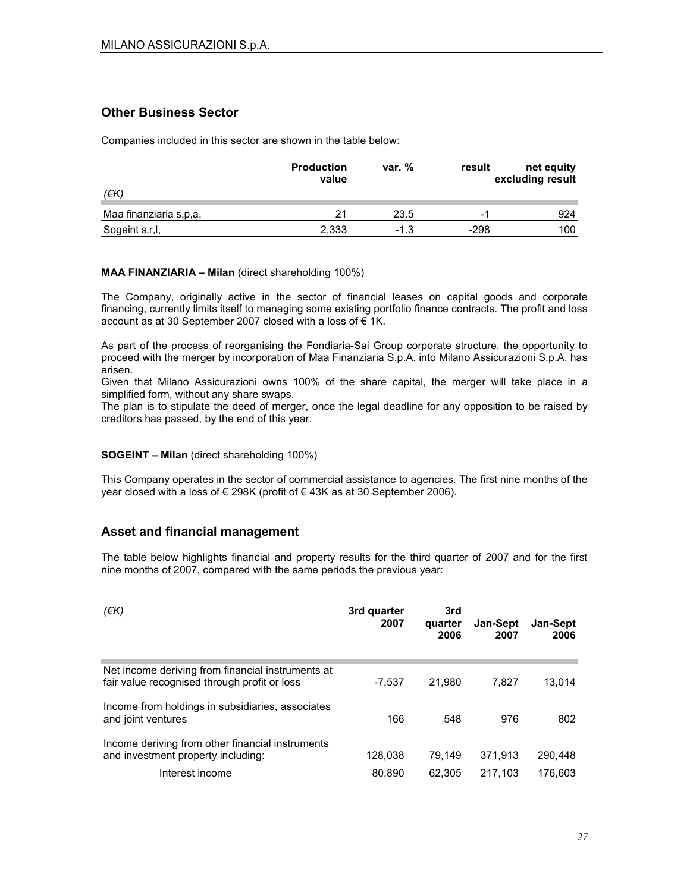### Other Business Sector

Companies included in this sector are shown in the table below:

|                        | <b>Production</b><br>value | var. % | result | net equity<br>excluding result |
|------------------------|----------------------------|--------|--------|--------------------------------|
| (€K)                   |                            |        |        |                                |
| Maa finanziaria s,p,a, | 21                         | 23.5   | -      | 924                            |
| Sogeint s,r,l,         | 2,333                      | $-1.3$ | $-298$ | 100                            |

#### MAA FINANZIARIA – Milan (direct shareholding 100%)

The Company, originally active in the sector of financial leases on capital goods and corporate financing, currently limits itself to managing some existing portfolio finance contracts. The profit and loss account as at 30 September 2007 closed with a loss of € 1K.

As part of the process of reorganising the Fondiaria-Sai Group corporate structure, the opportunity to proceed with the merger by incorporation of Maa Finanziaria S.p.A. into Milano Assicurazioni S.p.A. has arisen.

Given that Milano Assicurazioni owns 100% of the share capital, the merger will take place in a simplified form, without any share swaps.

The plan is to stipulate the deed of merger, once the legal deadline for any opposition to be raised by creditors has passed, by the end of this year.

#### SOGEINT – Milan (direct shareholding 100%)

This Company operates in the sector of commercial assistance to agencies. The first nine months of the year closed with a loss of € 298K (profit of € 43K as at 30 September 2006).

#### Asset and financial management

The table below highlights financial and property results for the third quarter of 2007 and for the first nine months of 2007, compared with the same periods the previous year:

| (EK)                                                                                                      | 3rd quarter<br>2007 | 3rd<br>quarter<br>2006 | Jan-Sept<br>2007   | Jan-Sept<br>2006   |
|-----------------------------------------------------------------------------------------------------------|---------------------|------------------------|--------------------|--------------------|
| Net income deriving from financial instruments at<br>fair value recognised through profit or loss         | -7.537              | 21.980                 | 7.827              | 13.014             |
| Income from holdings in subsidiaries, associates<br>and joint ventures                                    | 166                 | 548                    | 976                | 802                |
| Income deriving from other financial instruments<br>and investment property including:<br>Interest income | 128,038<br>80,890   | 79.149<br>62.305       | 371,913<br>217.103 | 290.448<br>176.603 |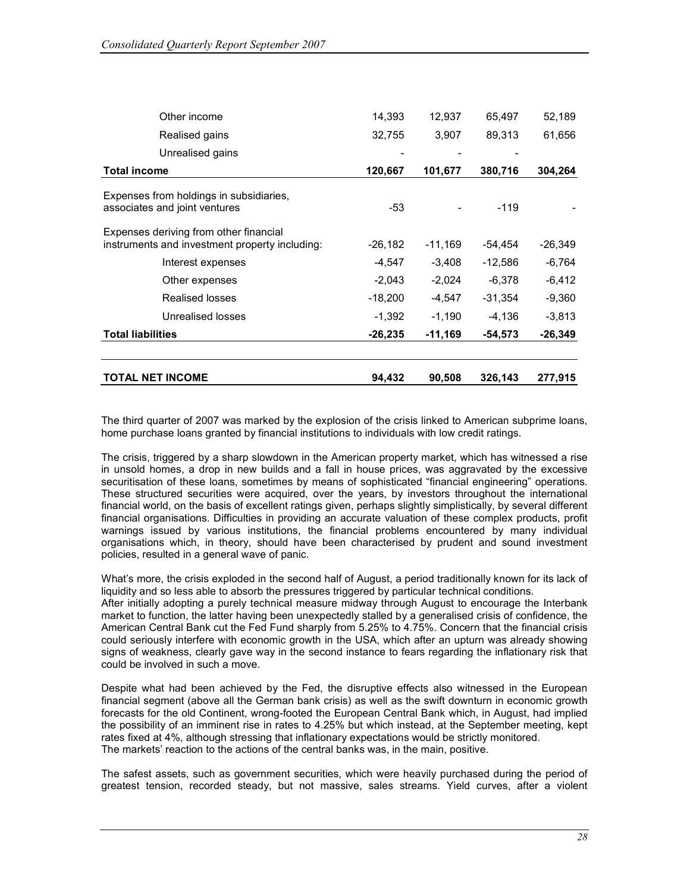| Other income                                                                             | 14,393    | 12,937    | 65,497    | 52,189    |
|------------------------------------------------------------------------------------------|-----------|-----------|-----------|-----------|
| Realised gains                                                                           | 32,755    | 3,907     | 89,313    | 61,656    |
| Unrealised gains                                                                         |           |           |           |           |
| <b>Total income</b>                                                                      | 120,667   | 101,677   | 380,716   | 304,264   |
| Expenses from holdings in subsidiaries,<br>associates and joint ventures                 | -53       |           | $-119$    |           |
| Expenses deriving from other financial<br>instruments and investment property including: | $-26,182$ | $-11,169$ | $-54,454$ | $-26,349$ |
| Interest expenses                                                                        | $-4,547$  | $-3,408$  | $-12,586$ | $-6,764$  |
| Other expenses                                                                           | $-2,043$  | $-2,024$  | $-6,378$  | $-6,412$  |
| <b>Realised losses</b>                                                                   | $-18,200$ | $-4,547$  | $-31,354$ | $-9,360$  |
| Unrealised losses                                                                        | $-1,392$  | $-1,190$  | $-4,136$  | $-3,813$  |
| <b>Total liabilities</b>                                                                 | $-26,235$ | -11,169   | $-54,573$ | -26,349   |
| TOTAL NET INCOME                                                                         | 94,432    | 90,508    | 326,143   | 277,915   |

The third quarter of 2007 was marked by the explosion of the crisis linked to American subprime loans, home purchase loans granted by financial institutions to individuals with low credit ratings.

The crisis, triggered by a sharp slowdown in the American property market, which has witnessed a rise in unsold homes, a drop in new builds and a fall in house prices, was aggravated by the excessive securitisation of these loans, sometimes by means of sophisticated "financial engineering" operations. These structured securities were acquired, over the years, by investors throughout the international financial world, on the basis of excellent ratings given, perhaps slightly simplistically, by several different financial organisations. Difficulties in providing an accurate valuation of these complex products, profit warnings issued by various institutions, the financial problems encountered by many individual organisations which, in theory, should have been characterised by prudent and sound investment policies, resulted in a general wave of panic.

What's more, the crisis exploded in the second half of August, a period traditionally known for its lack of liquidity and so less able to absorb the pressures triggered by particular technical conditions. After initially adopting a purely technical measure midway through August to encourage the Interbank market to function, the latter having been unexpectedly stalled by a generalised crisis of confidence, the American Central Bank cut the Fed Fund sharply from 5.25% to 4.75%. Concern that the financial crisis could seriously interfere with economic growth in the USA, which after an upturn was already showing signs of weakness, clearly gave way in the second instance to fears regarding the inflationary risk that could be involved in such a move.

Despite what had been achieved by the Fed, the disruptive effects also witnessed in the European financial segment (above all the German bank crisis) as well as the swift downturn in economic growth forecasts for the old Continent, wrong-footed the European Central Bank which, in August, had implied the possibility of an imminent rise in rates to 4.25% but which instead, at the September meeting, kept rates fixed at 4%, although stressing that inflationary expectations would be strictly monitored. The markets' reaction to the actions of the central banks was, in the main, positive.

The safest assets, such as government securities, which were heavily purchased during the period of greatest tension, recorded steady, but not massive, sales streams. Yield curves, after a violent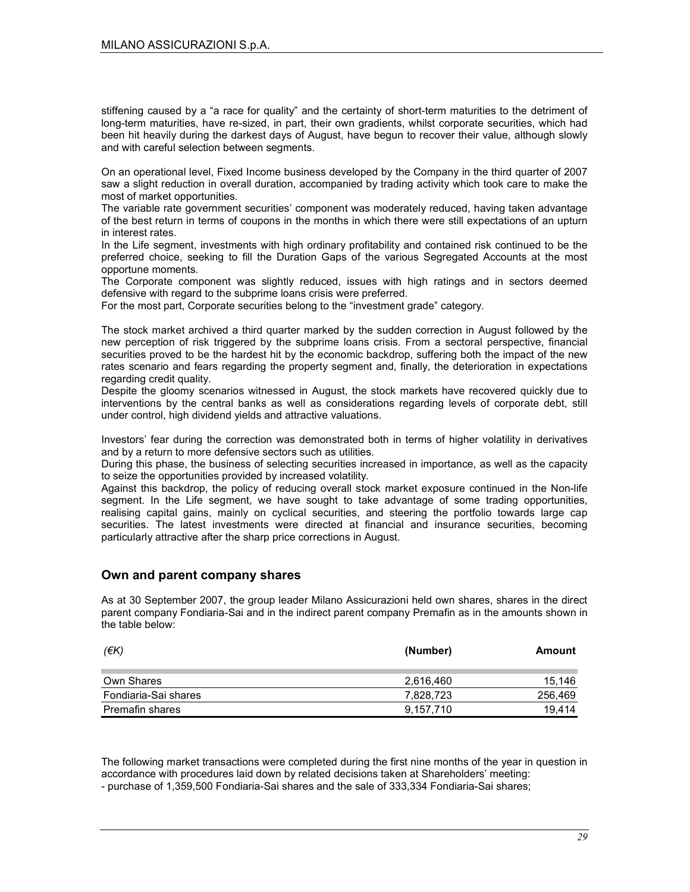stiffening caused by a "a race for quality" and the certainty of short-term maturities to the detriment of long-term maturities, have re-sized, in part, their own gradients, whilst corporate securities, which had been hit heavily during the darkest days of August, have begun to recover their value, although slowly and with careful selection between segments.

On an operational level, Fixed Income business developed by the Company in the third quarter of 2007 saw a slight reduction in overall duration, accompanied by trading activity which took care to make the most of market opportunities.

The variable rate government securities' component was moderately reduced, having taken advantage of the best return in terms of coupons in the months in which there were still expectations of an upturn in interest rates.

In the Life segment, investments with high ordinary profitability and contained risk continued to be the preferred choice, seeking to fill the Duration Gaps of the various Segregated Accounts at the most opportune moments.

The Corporate component was slightly reduced, issues with high ratings and in sectors deemed defensive with regard to the subprime loans crisis were preferred.

For the most part, Corporate securities belong to the "investment grade" category.

The stock market archived a third quarter marked by the sudden correction in August followed by the new perception of risk triggered by the subprime loans crisis. From a sectoral perspective, financial securities proved to be the hardest hit by the economic backdrop, suffering both the impact of the new rates scenario and fears regarding the property segment and, finally, the deterioration in expectations regarding credit quality.

Despite the gloomy scenarios witnessed in August, the stock markets have recovered quickly due to interventions by the central banks as well as considerations regarding levels of corporate debt, still under control, high dividend yields and attractive valuations.

Investors' fear during the correction was demonstrated both in terms of higher volatility in derivatives and by a return to more defensive sectors such as utilities.

During this phase, the business of selecting securities increased in importance, as well as the capacity to seize the opportunities provided by increased volatility.

Against this backdrop, the policy of reducing overall stock market exposure continued in the Non-life segment. In the Life segment, we have sought to take advantage of some trading opportunities, realising capital gains, mainly on cyclical securities, and steering the portfolio towards large cap securities. The latest investments were directed at financial and insurance securities, becoming particularly attractive after the sharp price corrections in August.

#### Own and parent company shares

As at 30 September 2007, the group leader Milano Assicurazioni held own shares, shares in the direct parent company Fondiaria-Sai and in the indirect parent company Premafin as in the amounts shown in the table below:

| (EK)                 | (Number)  | Amount  |
|----------------------|-----------|---------|
| Own Shares           | 2,616,460 | 15,146  |
| Fondiaria-Sai shares | 7.828.723 | 256,469 |
| Premafin shares      | 9,157,710 | 19.414  |

The following market transactions were completed during the first nine months of the year in question in accordance with procedures laid down by related decisions taken at Shareholders' meeting: - purchase of 1,359,500 Fondiaria-Sai shares and the sale of 333,334 Fondiaria-Sai shares;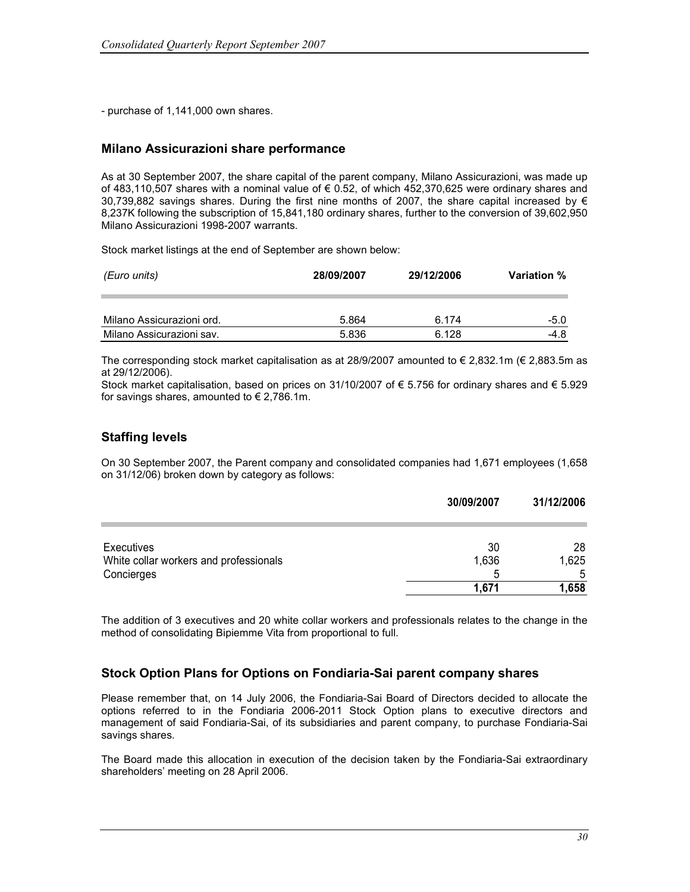- purchase of 1,141,000 own shares.

#### Milano Assicurazioni share performance

As at 30 September 2007, the share capital of the parent company, Milano Assicurazioni, was made up of 483,110,507 shares with a nominal value of € 0.52, of which 452,370,625 were ordinary shares and 30,739,882 savings shares. During the first nine months of 2007, the share capital increased by  $\epsilon$ 8,237K following the subscription of 15,841,180 ordinary shares, further to the conversion of 39,602,950 Milano Assicurazioni 1998-2007 warrants.

Stock market listings at the end of September are shown below:

| (Euro units)              | 28/09/2007 | 29/12/2006 |        |
|---------------------------|------------|------------|--------|
| Milano Assicurazioni ord. | 5.864      | 6.174      | $-5.0$ |
| Milano Assicurazioni sav. | 5.836      | 6.128      | -4.8   |

The corresponding stock market capitalisation as at 28/9/2007 amounted to  $\epsilon$  2,832.1m ( $\epsilon$  2,883.5m as at 29/12/2006).

Stock market capitalisation, based on prices on 31/10/2007 of € 5.756 for ordinary shares and € 5.929 for savings shares, amounted to  $\epsilon$  2,786.1m.

#### Staffing levels

On 30 September 2007, the Parent company and consolidated companies had 1,671 employees (1,658 on 31/12/06) broken down by category as follows:

|                                        | 30/09/2007 | 31/12/2006 |
|----------------------------------------|------------|------------|
| Executives                             | 30         | 28         |
| White collar workers and professionals | 1,636      | 1,625      |
| Concierges                             | 5          | -5         |
|                                        | 1,671      | 1,658      |

The addition of 3 executives and 20 white collar workers and professionals relates to the change in the method of consolidating Bipiemme Vita from proportional to full.

#### Stock Option Plans for Options on Fondiaria-Sai parent company shares

Please remember that, on 14 July 2006, the Fondiaria-Sai Board of Directors decided to allocate the options referred to in the Fondiaria 2006-2011 Stock Option plans to executive directors and management of said Fondiaria-Sai, of its subsidiaries and parent company, to purchase Fondiaria-Sai savings shares.

The Board made this allocation in execution of the decision taken by the Fondiaria-Sai extraordinary shareholders' meeting on 28 April 2006.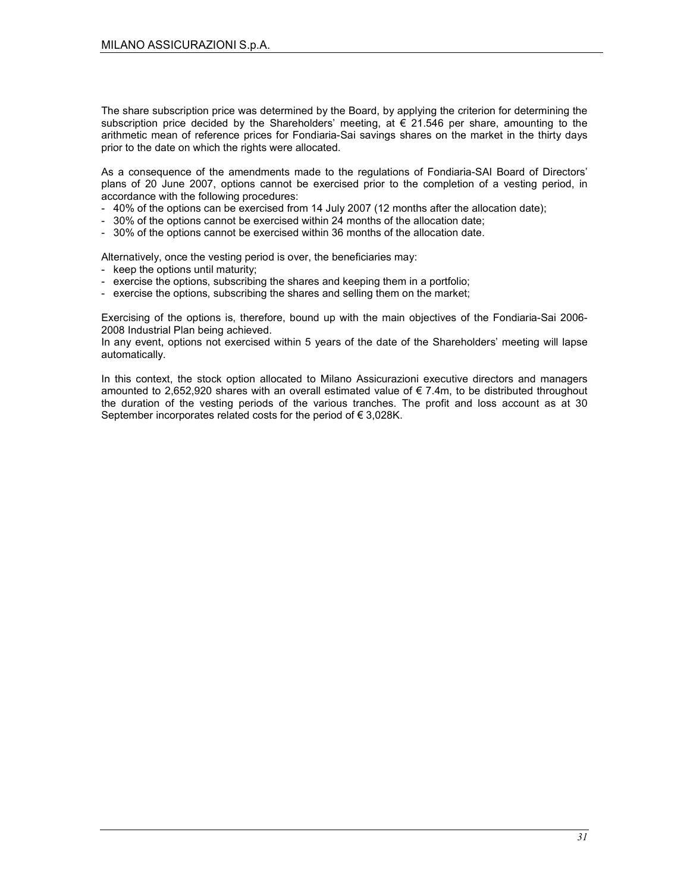The share subscription price was determined by the Board, by applying the criterion for determining the subscription price decided by the Shareholders' meeting, at  $\epsilon$  21.546 per share, amounting to the arithmetic mean of reference prices for Fondiaria-Sai savings shares on the market in the thirty days prior to the date on which the rights were allocated.

As a consequence of the amendments made to the regulations of Fondiaria-SAI Board of Directors' plans of 20 June 2007, options cannot be exercised prior to the completion of a vesting period, in accordance with the following procedures:

- 40% of the options can be exercised from 14 July 2007 (12 months after the allocation date);
- 30% of the options cannot be exercised within 24 months of the allocation date;
- 30% of the options cannot be exercised within 36 months of the allocation date.

Alternatively, once the vesting period is over, the beneficiaries may:

- keep the options until maturity;
- exercise the options, subscribing the shares and keeping them in a portfolio;
- exercise the options, subscribing the shares and selling them on the market;

Exercising of the options is, therefore, bound up with the main objectives of the Fondiaria-Sai 2006- 2008 Industrial Plan being achieved.

In any event, options not exercised within 5 years of the date of the Shareholders' meeting will lapse automatically.

In this context, the stock option allocated to Milano Assicurazioni executive directors and managers amounted to 2,652,920 shares with an overall estimated value of € 7.4m, to be distributed throughout the duration of the vesting periods of the various tranches. The profit and loss account as at 30 September incorporates related costs for the period of € 3,028K.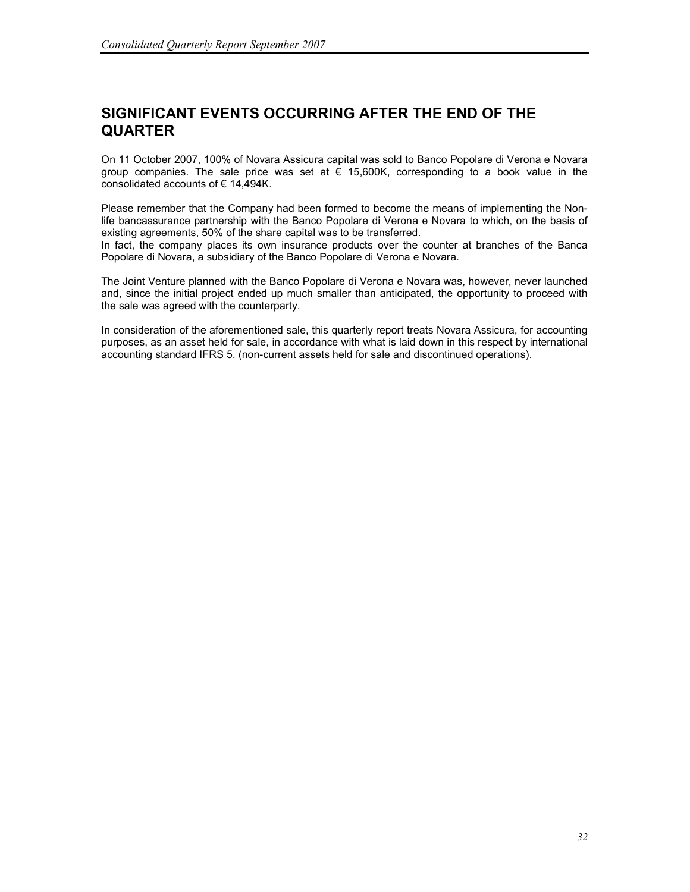## SIGNIFICANT EVENTS OCCURRING AFTER THE END OF THE **QUARTER**

On 11 October 2007, 100% of Novara Assicura capital was sold to Banco Popolare di Verona e Novara group companies. The sale price was set at  $\epsilon$  15,600K, corresponding to a book value in the consolidated accounts of € 14,494K.

Please remember that the Company had been formed to become the means of implementing the Nonlife bancassurance partnership with the Banco Popolare di Verona e Novara to which, on the basis of existing agreements, 50% of the share capital was to be transferred.

In fact, the company places its own insurance products over the counter at branches of the Banca Popolare di Novara, a subsidiary of the Banco Popolare di Verona e Novara.

The Joint Venture planned with the Banco Popolare di Verona e Novara was, however, never launched and, since the initial project ended up much smaller than anticipated, the opportunity to proceed with the sale was agreed with the counterparty.

In consideration of the aforementioned sale, this quarterly report treats Novara Assicura, for accounting purposes, as an asset held for sale, in accordance with what is laid down in this respect by international accounting standard IFRS 5. (non-current assets held for sale and discontinued operations).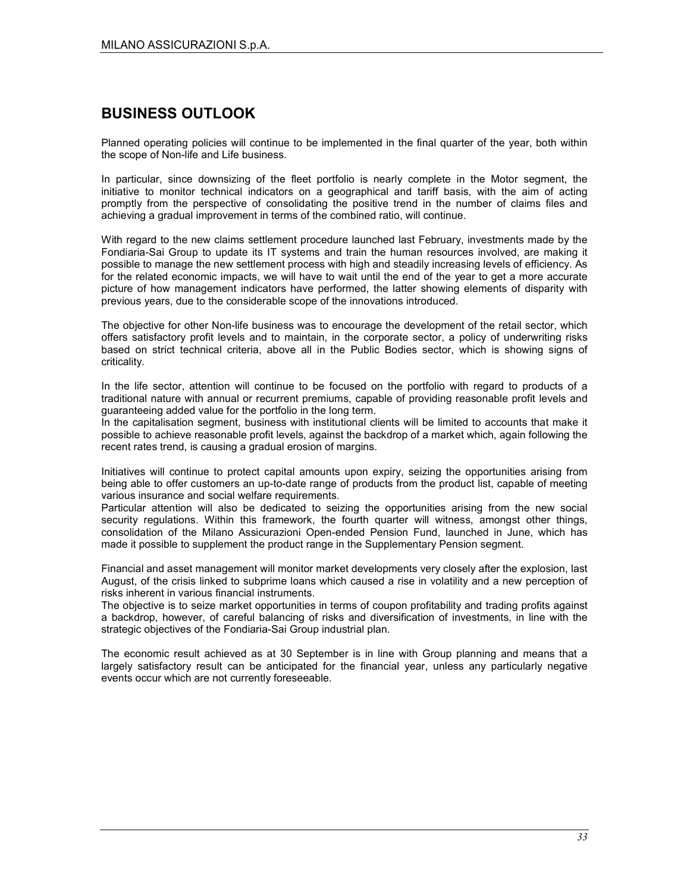## BUSINESS OUTLOOK

Planned operating policies will continue to be implemented in the final quarter of the year, both within the scope of Non-life and Life business.

In particular, since downsizing of the fleet portfolio is nearly complete in the Motor segment, the initiative to monitor technical indicators on a geographical and tariff basis, with the aim of acting promptly from the perspective of consolidating the positive trend in the number of claims files and achieving a gradual improvement in terms of the combined ratio, will continue.

With regard to the new claims settlement procedure launched last February, investments made by the Fondiaria-Sai Group to update its IT systems and train the human resources involved, are making it possible to manage the new settlement process with high and steadily increasing levels of efficiency. As for the related economic impacts, we will have to wait until the end of the year to get a more accurate picture of how management indicators have performed, the latter showing elements of disparity with previous years, due to the considerable scope of the innovations introduced.

The objective for other Non-life business was to encourage the development of the retail sector, which offers satisfactory profit levels and to maintain, in the corporate sector, a policy of underwriting risks based on strict technical criteria, above all in the Public Bodies sector, which is showing signs of criticality.

In the life sector, attention will continue to be focused on the portfolio with regard to products of a traditional nature with annual or recurrent premiums, capable of providing reasonable profit levels and guaranteeing added value for the portfolio in the long term.

In the capitalisation segment, business with institutional clients will be limited to accounts that make it possible to achieve reasonable profit levels, against the backdrop of a market which, again following the recent rates trend, is causing a gradual erosion of margins.

Initiatives will continue to protect capital amounts upon expiry, seizing the opportunities arising from being able to offer customers an up-to-date range of products from the product list, capable of meeting various insurance and social welfare requirements.

Particular attention will also be dedicated to seizing the opportunities arising from the new social security regulations. Within this framework, the fourth quarter will witness, amongst other things, consolidation of the Milano Assicurazioni Open-ended Pension Fund, launched in June, which has made it possible to supplement the product range in the Supplementary Pension segment.

Financial and asset management will monitor market developments very closely after the explosion, last August, of the crisis linked to subprime loans which caused a rise in volatility and a new perception of risks inherent in various financial instruments.

The objective is to seize market opportunities in terms of coupon profitability and trading profits against a backdrop, however, of careful balancing of risks and diversification of investments, in line with the strategic objectives of the Fondiaria-Sai Group industrial plan.

The economic result achieved as at 30 September is in line with Group planning and means that a largely satisfactory result can be anticipated for the financial year, unless any particularly negative events occur which are not currently foreseeable.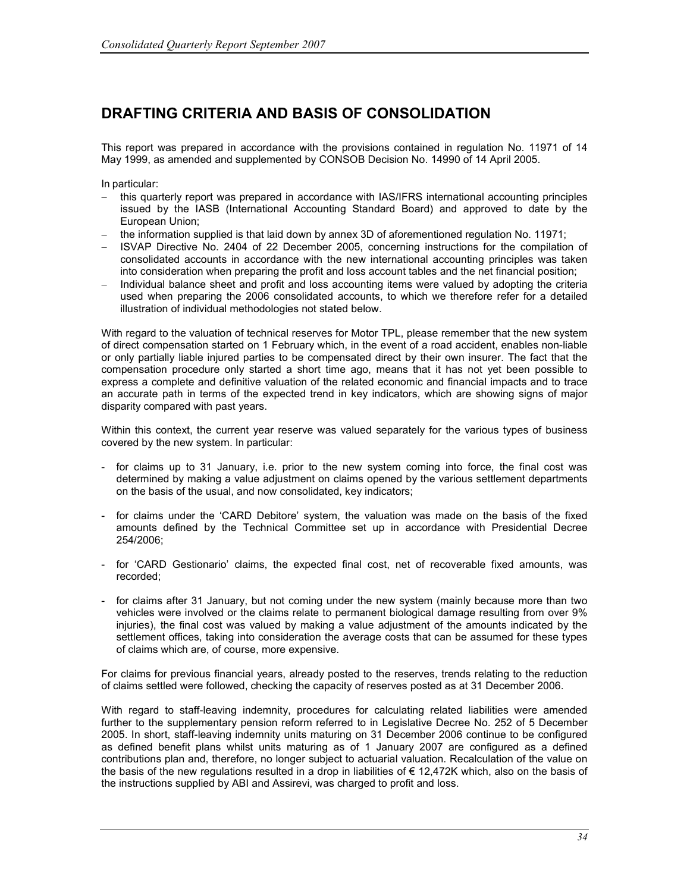## DRAFTING CRITERIA AND BASIS OF CONSOLIDATION

This report was prepared in accordance with the provisions contained in regulation No. 11971 of 14 May 1999, as amended and supplemented by CONSOB Decision No. 14990 of 14 April 2005.

In particular:

- this quarterly report was prepared in accordance with IAS/IFRS international accounting principles issued by the IASB (International Accounting Standard Board) and approved to date by the European Union;
- − the information supplied is that laid down by annex 3D of aforementioned regulation No. 11971;
- − ISVAP Directive No. 2404 of 22 December 2005, concerning instructions for the compilation of consolidated accounts in accordance with the new international accounting principles was taken into consideration when preparing the profit and loss account tables and the net financial position;
- Individual balance sheet and profit and loss accounting items were valued by adopting the criteria used when preparing the 2006 consolidated accounts, to which we therefore refer for a detailed illustration of individual methodologies not stated below.

With regard to the valuation of technical reserves for Motor TPL, please remember that the new system of direct compensation started on 1 February which, in the event of a road accident, enables non-liable or only partially liable injured parties to be compensated direct by their own insurer. The fact that the compensation procedure only started a short time ago, means that it has not yet been possible to express a complete and definitive valuation of the related economic and financial impacts and to trace an accurate path in terms of the expected trend in key indicators, which are showing signs of major disparity compared with past years.

Within this context, the current year reserve was valued separately for the various types of business covered by the new system. In particular:

- for claims up to 31 January, i.e. prior to the new system coming into force, the final cost was determined by making a value adjustment on claims opened by the various settlement departments on the basis of the usual, and now consolidated, key indicators;
- for claims under the 'CARD Debitore' system, the valuation was made on the basis of the fixed amounts defined by the Technical Committee set up in accordance with Presidential Decree 254/2006;
- for 'CARD Gestionario' claims, the expected final cost, net of recoverable fixed amounts, was recorded;
- for claims after 31 January, but not coming under the new system (mainly because more than two vehicles were involved or the claims relate to permanent biological damage resulting from over 9% injuries), the final cost was valued by making a value adjustment of the amounts indicated by the settlement offices, taking into consideration the average costs that can be assumed for these types of claims which are, of course, more expensive.

For claims for previous financial years, already posted to the reserves, trends relating to the reduction of claims settled were followed, checking the capacity of reserves posted as at 31 December 2006.

With regard to staff-leaving indemnity, procedures for calculating related liabilities were amended further to the supplementary pension reform referred to in Legislative Decree No. 252 of 5 December 2005. In short, staff-leaving indemnity units maturing on 31 December 2006 continue to be configured as defined benefit plans whilst units maturing as of 1 January 2007 are configured as a defined contributions plan and, therefore, no longer subject to actuarial valuation. Recalculation of the value on the basis of the new regulations resulted in a drop in liabilities of  $\epsilon$  12,472K which, also on the basis of the instructions supplied by ABI and Assirevi, was charged to profit and loss.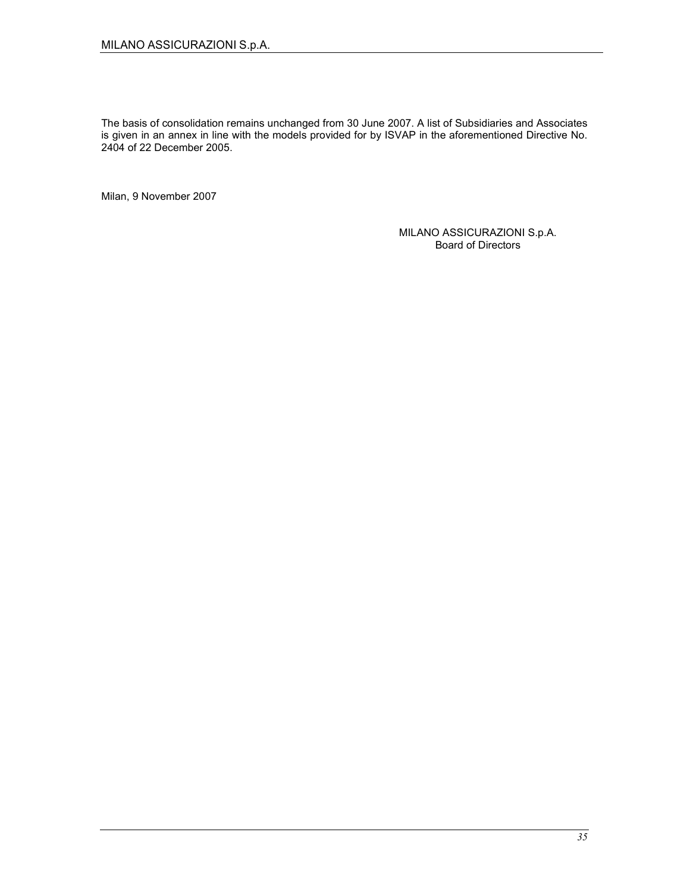The basis of consolidation remains unchanged from 30 June 2007. A list of Subsidiaries and Associates is given in an annex in line with the models provided for by ISVAP in the aforementioned Directive No. 2404 of 22 December 2005.

Milan, 9 November 2007

MILANO ASSICURAZIONI S.p.A. Board of Directors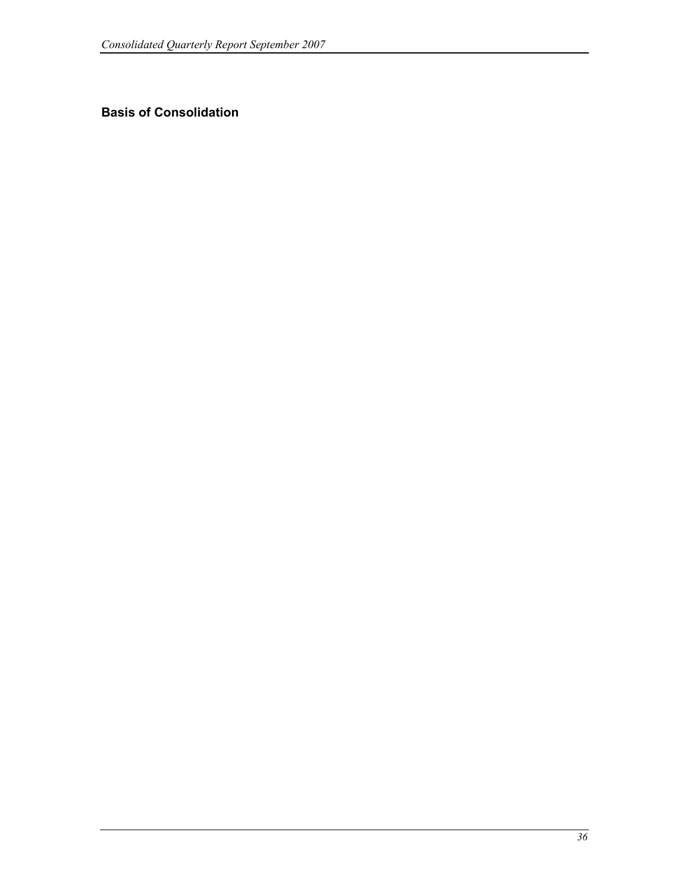## Basis of Consolidation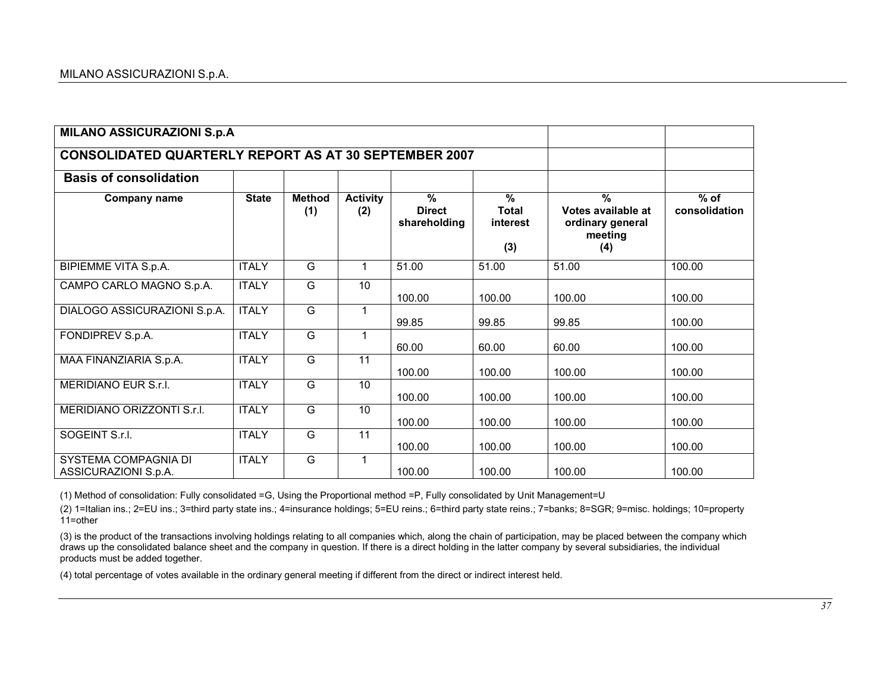| <b>MILANO ASSICURAZIONI S.p.A</b>                            |              |                      |                        |                                                |                                      |                                                                                      |                         |
|--------------------------------------------------------------|--------------|----------------------|------------------------|------------------------------------------------|--------------------------------------|--------------------------------------------------------------------------------------|-------------------------|
| <b>CONSOLIDATED QUARTERLY REPORT AS AT 30 SEPTEMBER 2007</b> |              |                      |                        |                                                |                                      |                                                                                      |                         |
| <b>Basis of consolidation</b>                                |              |                      |                        |                                                |                                      |                                                                                      |                         |
| <b>Company name</b>                                          | <b>State</b> | <b>Method</b><br>(1) | <b>Activity</b><br>(2) | $\frac{9}{6}$<br><b>Direct</b><br>shareholding | %<br><b>Total</b><br>interest<br>(3) | $\overline{\frac{9}{6}}$<br>Votes available at<br>ordinary general<br>meeting<br>(4) | $%$ of<br>consolidation |
| BIPIEMME VITA S.p.A.                                         | <b>ITALY</b> | G                    | $\mathbf{1}$           | 51.00                                          | 51.00                                | 51.00                                                                                | 100.00                  |
| CAMPO CARLO MAGNO S.p.A.                                     | <b>ITALY</b> | G                    | 10                     | 100.00                                         | 100.00                               | 100.00                                                                               | 100.00                  |
| DIALOGO ASSICURAZIONI S.p.A.                                 | <b>ITALY</b> | $\overline{G}$       | $\mathbf{1}$           | 99.85                                          | 99.85                                | 99.85                                                                                | 100.00                  |
| FONDIPREV S.p.A.                                             | <b>ITALY</b> | $\overline{G}$       | 1                      | 60.00                                          | 60.00                                | 60.00                                                                                | 100.00                  |
| MAA FINANZIARIA S.p.A.                                       | <b>ITALY</b> | G                    | 11                     | 100.00                                         | 100.00                               | 100.00                                                                               | 100.00                  |
| MERIDIANO EUR S.r.I.                                         | <b>ITALY</b> | G                    | 10                     | 100.00                                         | 100.00                               | 100.00                                                                               | 100.00                  |
| MERIDIANO ORIZZONTI S.r.I.                                   | <b>ITALY</b> | G                    | 10                     | 100.00                                         | 100.00                               | 100.00                                                                               | 100.00                  |
| SOGEINT S.r.I.                                               | <b>ITALY</b> | G                    | 11                     | 100.00                                         | 100.00                               | 100.00                                                                               | 100.00                  |
| SYSTEMA COMPAGNIA DI<br>ASSICURAZIONI S.p.A.                 | <b>ITALY</b> | G                    | 1                      | 100.00                                         | 100.00                               | 100.00                                                                               | 100.00                  |

(1) Method of consolidation: Fully consolidated =G, Using the Proportional method =P, Fully consolidated by Unit Management=U

(2) 1=Italian ins.; 2=EU ins.; 3=third party state ins.; 4=insurance holdings; 5=EU reins.; 6=third party state reins.; 7=banks; 8=SGR; 9=misc. holdings; 10=property 11=other

(3) is the product of the transactions involving holdings relating to all companies which, along the chain of participation, may be placed between the company which draws up the consolidated balance sheet and the company in question. If there is a direct holding in the latter company by several subsidiaries, the individual products must be added together.

(4) total percentage of votes available in the ordinary general meeting if different from the direct or indirect interest held.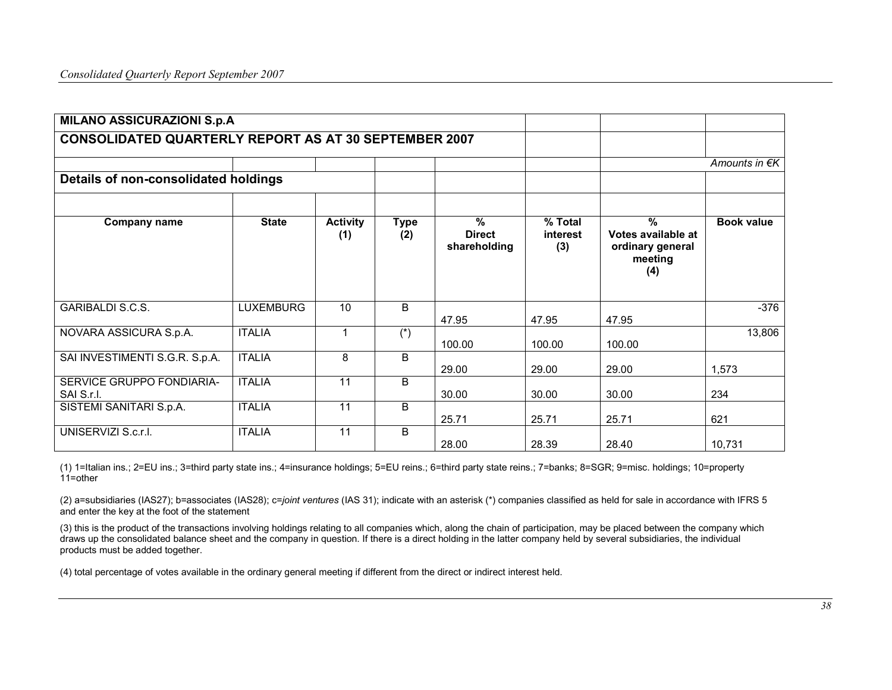| <b>MILANO ASSICURAZIONI S.p.A</b>                            |                  |                        |                                 |                                    |                            |                                                                           |                   |
|--------------------------------------------------------------|------------------|------------------------|---------------------------------|------------------------------------|----------------------------|---------------------------------------------------------------------------|-------------------|
| <b>CONSOLIDATED QUARTERLY REPORT AS AT 30 SEPTEMBER 2007</b> |                  |                        |                                 |                                    |                            |                                                                           |                   |
|                                                              |                  |                        |                                 |                                    |                            |                                                                           | Amounts in €K     |
| Details of non-consolidated holdings                         |                  |                        |                                 |                                    |                            |                                                                           |                   |
|                                                              |                  |                        |                                 |                                    |                            |                                                                           |                   |
| <b>Company name</b>                                          | <b>State</b>     | <b>Activity</b><br>(1) | <b>Type</b><br>(2)              | %<br><b>Direct</b><br>shareholding | % Total<br>interest<br>(3) | $\frac{9}{6}$<br>Votes available at<br>ordinary general<br>meeting<br>(4) | <b>Book value</b> |
| <b>GARIBALDI S.C.S.</b>                                      | <b>LUXEMBURG</b> | 10                     | B                               | 47.95                              | 47.95                      | 47.95                                                                     | $-376$            |
| NOVARA ASSICURA S.p.A.                                       | <b>ITALIA</b>    | 1                      | $\overline{(\overline{\cdot})}$ | 100.00                             | 100.00                     | 100.00                                                                    | 13,806            |
| SAI INVESTIMENTI S.G.R. S.p.A.                               | <b>ITALIA</b>    | 8                      | B                               | 29.00                              | 29.00                      | 29.00                                                                     | 1,573             |
| SERVICE GRUPPO FONDIARIA-<br>SAI S.r.I.                      | <b>ITALIA</b>    | 11                     | B                               | 30.00                              | 30.00                      | 30.00                                                                     | 234               |
| SISTEMI SANITARI S.p.A.                                      | <b>ITALIA</b>    | 11                     | B                               | 25.71                              | 25.71                      | 25.71                                                                     | 621               |
| UNISERVIZI S.c.r.l.                                          | <b>ITALIA</b>    | 11                     | B                               | 28.00                              | 28.39                      | 28.40                                                                     | 10,731            |

(1) 1=Italian ins.; 2=EU ins.; 3=third party state ins.; 4=insurance holdings; 5=EU reins.; 6=third party state reins.; 7=banks; 8=SGR; 9=misc. holdings; 10=property 11=other

(2) a=subsidiaries (IAS27); b=associates (IAS28); c=joint ventures (IAS 31); indicate with an asterisk (\*) companies classified as held for sale in accordance with IFRS 5 and enter the key at the foot of the statement

(3) this is the product of the transactions involving holdings relating to all companies which, along the chain of participation, may be placed between the company which draws up the consolidated balance sheet and the company in question. If there is a direct holding in the latter company held by several subsidiaries, the individual products must be added together.

(4) total percentage of votes available in the ordinary general meeting if different from the direct or indirect interest held.